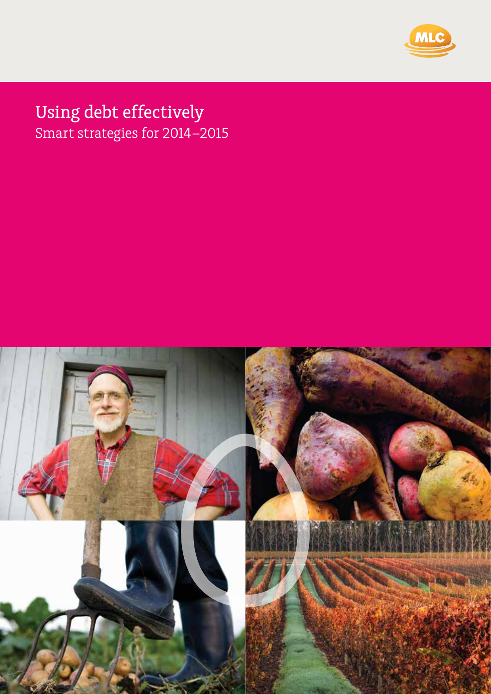

# Using debt effectively

Smart strategies for 2014–2015

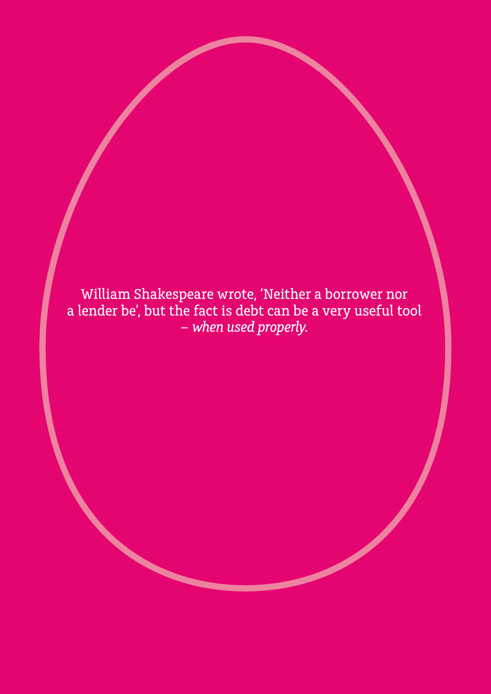William Shakespeare wrote, 'Neither a borrower nor a lender be', but the fact is debt can be a very useful tool *– when used properly.*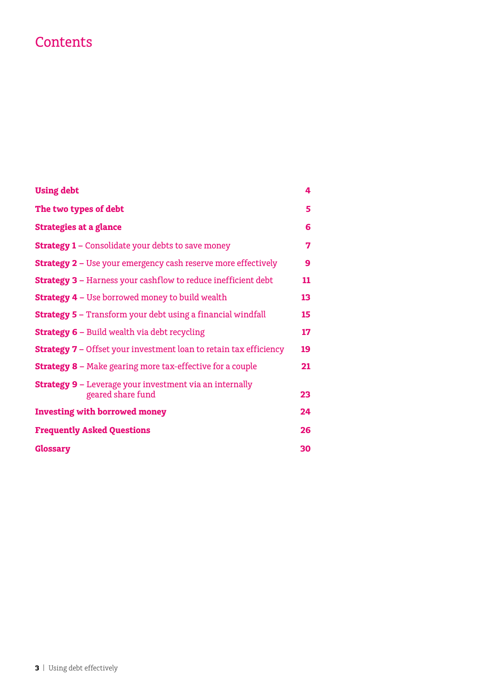# **Contents**

| <b>Using debt</b>                                                                   | 4  |
|-------------------------------------------------------------------------------------|----|
| The two types of debt                                                               | 5  |
| <b>Strategies at a glance</b>                                                       | 6  |
| <b>Strategy 1 – Consolidate your debts to save money</b>                            | 7  |
| <b>Strategy 2 - Use your emergency cash reserve more effectively</b>                | 9  |
| <b>Strategy 3 - Harness your cashflow to reduce inefficient debt</b>                | 11 |
| <b>Strategy 4 - Use borrowed money to build wealth</b>                              | 13 |
| <b>Strategy 5 - Transform your debt using a financial windfall</b>                  | 15 |
| <b>Strategy 6 - Build wealth via debt recycling</b>                                 | 17 |
| <b>Strategy 7 - Offset your investment loan to retain tax efficiency</b>            | 19 |
| <b>Strategy 8 - Make gearing more tax-effective for a couple</b>                    | 21 |
| <b>Strategy 9 -</b> Leverage your investment via an internally<br>geared share fund | 23 |
| <b>Investing with borrowed money</b>                                                | 24 |
| <b>Frequently Asked Questions</b>                                                   | 26 |
| <b>Glossary</b>                                                                     | 30 |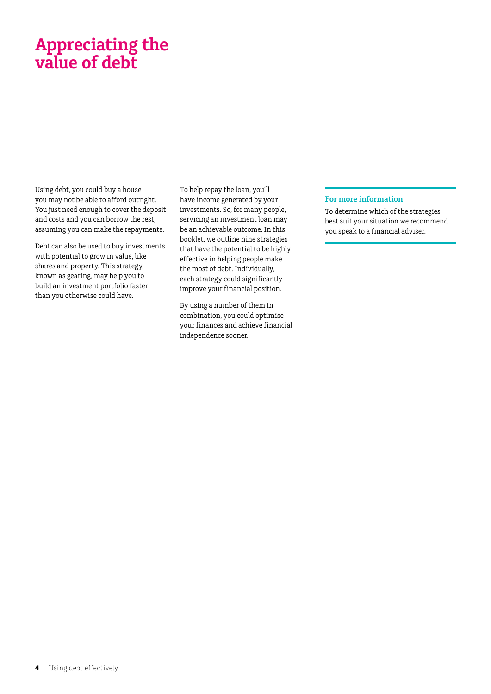# **Appreciating the value of debt**

Using debt, you could buy a house you may not be able to afford outright. You just need enough to cover the deposit and costs and you can borrow the rest, assuming you can make the repayments.

Debt can also be used to buy investments with potential to grow in value, like shares and property. This strategy, known as gearing, may help you to build an investment portfolio faster than you otherwise could have.

To help repay the loan, you'll have income generated by your investments. So, for many people, servicing an investment loan may be an achievable outcome. In this booklet, we outline nine strategies that have the potential to be highly effective in helping people make the most of debt. Individually, each strategy could significantly improve your financial position.

By using a number of them in combination, you could optimise your finances and achieve financial independence sooner.

### **For more information**

To determine which of the strategies best suit your situation we recommend you speak to a financial adviser.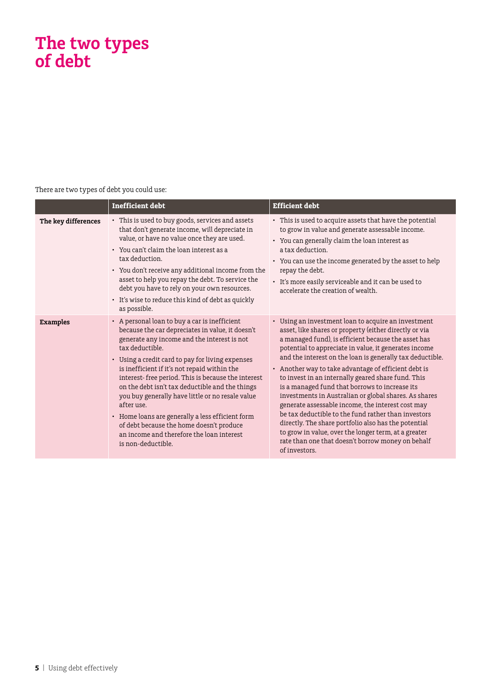# **The two types of debt**

There are two types of debt you could use:

|                     | <b>Inefficient debt</b>                                                                                                                                                                                                                                                                                                                                                                                                                                                                                                                                                                                               | <b>Efficient debt</b>                                                                                                                                                                                                                                                                                                                                                                                                                                                                                                                                                                                                                                                                                                                                                                                                 |
|---------------------|-----------------------------------------------------------------------------------------------------------------------------------------------------------------------------------------------------------------------------------------------------------------------------------------------------------------------------------------------------------------------------------------------------------------------------------------------------------------------------------------------------------------------------------------------------------------------------------------------------------------------|-----------------------------------------------------------------------------------------------------------------------------------------------------------------------------------------------------------------------------------------------------------------------------------------------------------------------------------------------------------------------------------------------------------------------------------------------------------------------------------------------------------------------------------------------------------------------------------------------------------------------------------------------------------------------------------------------------------------------------------------------------------------------------------------------------------------------|
| The key differences | • This is used to buy goods, services and assets<br>that don't generate income, will depreciate in<br>value, or have no value once they are used.<br>• You can't claim the loan interest as a<br>tax deduction.<br>• You don't receive any additional income from the<br>asset to help you repay the debt. To service the<br>debt you have to rely on your own resources.<br>• It's wise to reduce this kind of debt as quickly<br>as possible.                                                                                                                                                                       | • This is used to acquire assets that have the potential<br>to grow in value and generate assessable income.<br>• You can generally claim the loan interest as<br>a tax deduction.<br>• You can use the income generated by the asset to help<br>repay the debt.<br>• It's more easily serviceable and it can be used to<br>accelerate the creation of wealth.                                                                                                                                                                                                                                                                                                                                                                                                                                                        |
| <b>Examples</b>     | • A personal loan to buy a car is inefficient<br>because the car depreciates in value, it doesn't<br>generate any income and the interest is not<br>tax deductible.<br>• Using a credit card to pay for living expenses<br>is inefficient if it's not repaid within the<br>interest-free period. This is because the interest<br>on the debt isn't tax deductible and the things<br>you buy generally have little or no resale value<br>after use.<br>• Home loans are generally a less efficient form<br>of debt because the home doesn't produce<br>an income and therefore the loan interest<br>is non-deductible. | • Using an investment loan to acquire an investment<br>asset, like shares or property (either directly or via<br>a managed fund), is efficient because the asset has<br>potential to appreciate in value, it generates income<br>and the interest on the loan is generally tax deductible.<br>• Another way to take advantage of efficient debt is<br>to invest in an internally geared share fund. This<br>is a managed fund that borrows to increase its<br>investments in Australian or global shares. As shares<br>generate assessable income, the interest cost may<br>be tax deductible to the fund rather than investors<br>directly. The share portfolio also has the potential<br>to grow in value, over the longer term, at a greater<br>rate than one that doesn't borrow money on behalf<br>of investors. |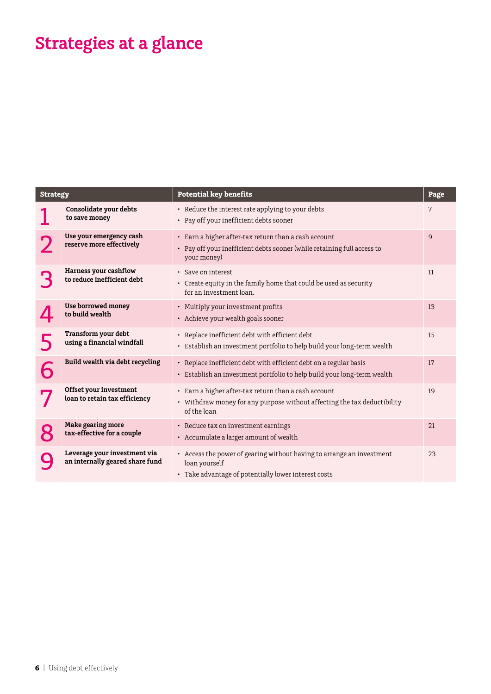# **Strategies at a glance**

| <b>Strategy</b> |                                                                 | <b>Potential key benefits</b>                                                                                                                   | Page           |
|-----------------|-----------------------------------------------------------------|-------------------------------------------------------------------------------------------------------------------------------------------------|----------------|
|                 | Consolidate your debts<br>to save money                         | • Reduce the interest rate applying to your debts<br>• Pay off your inefficient debts sooner                                                    | 7              |
|                 | Use your emergency cash<br>reserve more effectively             | • Earn a higher after-tax return than a cash account<br>• Pay off your inefficient debts sooner (while retaining full access to<br>your money)  | $\overline{9}$ |
|                 | Harness your cashflow<br>to reduce inefficient debt             | · Save on interest<br>• Create equity in the family home that could be used as security<br>for an investment loan.                              | 11             |
|                 | <b>Use borrowed money</b><br>to build wealth                    | • Multiply your investment profits<br>• Achieve your wealth goals sooner                                                                        | 13             |
|                 | Transform your debt<br>using a financial windfall               | • Replace inefficient debt with efficient debt<br>• Establish an investment portfolio to help build your long-term wealth                       | 15             |
|                 | Build wealth via debt recycling                                 | • Replace inefficient debt with efficient debt on a regular basis<br>• Establish an investment portfolio to help build your long-term wealth    | 17             |
|                 | Offset your investment<br>loan to retain tax efficiency         | • Earn a higher after-tax return than a cash account<br>• Withdraw money for any purpose without affecting the tax deductibility<br>of the loan | 19             |
|                 | Make gearing more<br>tax-effective for a couple                 | • Reduce tax on investment earnings<br>• Accumulate a larger amount of wealth                                                                   | 21             |
|                 | Leverage your investment via<br>an internally geared share fund | • Access the power of gearing without having to arrange an investment<br>loan yourself<br>• Take advantage of potentially lower interest costs  | 23             |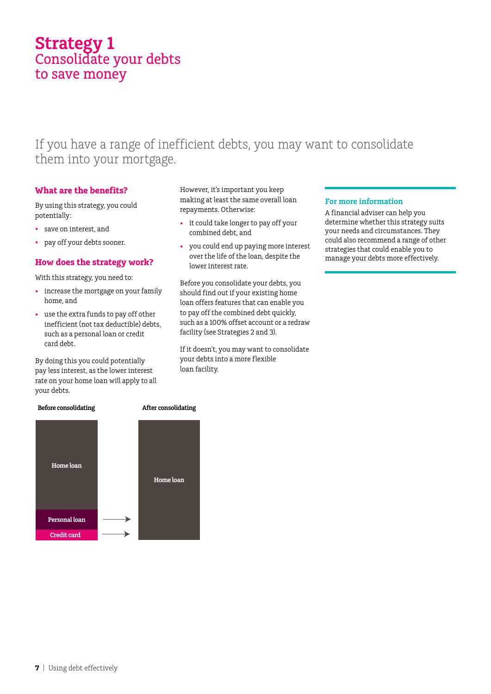# **Strategy 1** Consolidate your debts to save money

# If you have a range of inefficient debts, you may want to consolidate them into your mortgage.

# **What are the benefits?**

By using this strategy, you could potentially:

- • save on interest, and
- pay off your debts sooner.

# **How does the strategy work?**

With this strategy, you need to:

- increase the mortgage on your family home, and
- • use the extra funds to pay off other inefficient (not tax deductible) debts, such as a personal loan or credit card debt.

By doing this you could potentially pay less interest, as the lower interest rate on your home loan will apply to all your debts.

However, it's important you keep making at least the same overall loan repayments. Otherwise:

- • it could take longer to pay off your combined debt, and
- • you could end up paying more interest over the life of the loan, despite the lower interest rate.

Before you consolidate your debts, you should find out if your existing home loan offers features that can enable you to pay off the combined debt quickly, such as a 100% offset account or a redraw facility (see Strategies 2 and 3).

If it doesn't, you may want to consolidate your debts into a more flexible loan facility.

### **For more information**

A financial adviser can help you determine whether this strategy suits your needs and circumstances. They could also recommend a range of other strategies that could enable you to manage your debts more effectively.



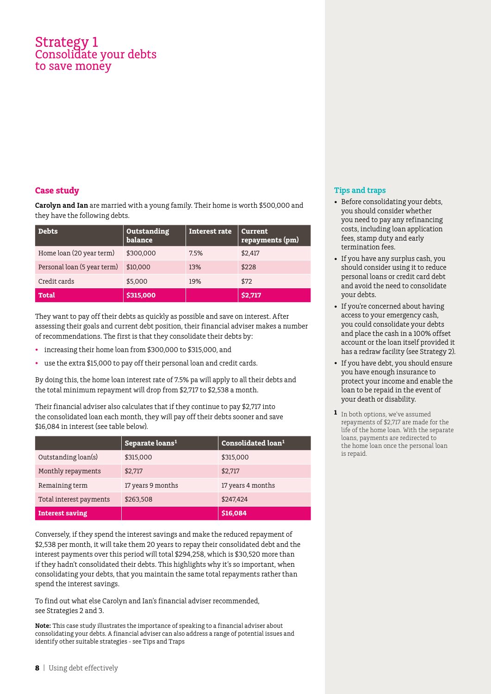# Strategy 1 Consolidate your debts to save money

# **Case study**

**Carolyn and Ian** are married with a young family. Their home is worth \$500,000 and they have the following debts.

| Debts                       | <b>Outstanding</b><br><b>balance</b> | Interest rate | <b>Current</b><br>repayments (pm) |
|-----------------------------|--------------------------------------|---------------|-----------------------------------|
| Home loan (20 year term)    | \$300,000                            | 7.5%          | \$2,417                           |
| Personal loan (5 year term) | \$10,000                             | 13%           | \$228                             |
| Credit cards                | \$5,000                              | 19%           | \$72                              |
| <b>Total</b>                | \$315,000                            |               | \$2,717                           |

They want to pay off their debts as quickly as possible and save on interest. After assessing their goals and current debt position, their financial adviser makes a number of recommendations. The first is that they consolidate their debts by:

- increasing their home loan from \$300,000 to \$315,000, and
- use the extra \$15,000 to pay off their personal loan and credit cards.

By doing this, the home loan interest rate of 7.5% pa will apply to all their debts and the total minimum repayment will drop from \$2,717 to \$2,538 a month.

Their financial adviser also calculates that if they continue to pay \$2,717 into the consolidated loan each month, they will pay off their debts sooner and save \$16,084 in interest (see table below).

|                         | Separate loans <sup>1</sup> | Consolidated loan <sup>1</sup> |
|-------------------------|-----------------------------|--------------------------------|
| Outstanding loan(s)     | \$315,000                   | \$315,000                      |
| Monthly repayments      | \$2,717                     | \$2,717                        |
| Remaining term          | 17 years 9 months           | 17 years 4 months              |
| Total interest payments | \$263,508                   | \$247,424                      |
| <b>Interest saving</b>  |                             | \$16,084                       |

Conversely, if they spend the interest savings and make the reduced repayment of \$2,538 per month, it will take them 20 years to repay their consolidated debt and the interest payments over this period will total \$294,258, which is \$30,520 more than if they hadn't consolidated their debts. This highlights why it's so important, when consolidating your debts, that you maintain the same total repayments rather than spend the interest savings.

To find out what else Carolyn and Ian's financial adviser recommended, see Strategies 2 and 3.

**Note:** This case study illustrates the importance of speaking to a financial adviser about consolidating your debts. A financial adviser can also address a range of potential issues and identify other suitable strategies - see Tips and Traps

- Before consolidating your debts, you should consider whether you need to pay any refinancing costs, including loan application fees, stamp duty and early termination fees.
- If you have any surplus cash, you should consider using it to reduce personal loans or credit card debt and avoid the need to consolidate your debts.
- If you're concerned about having access to your emergency cash, you could consolidate your debts and place the cash in a 100% offset account or the loan itself provided it has a redraw facility (see Strategy 2).
- • If you have debt, you should ensure you have enough insurance to protect your income and enable the loan to be repaid in the event of your death or disability.
- **1** In both options, we've assumed repayments of \$2,717 are made for the life of the home loan. With the separate loans, payments are redirected to the home loan once the personal loan is repaid.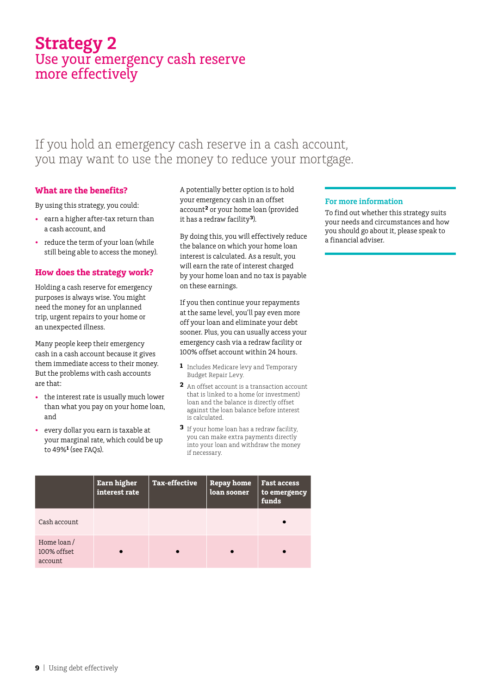# **Strategy 2** Use your emergency cash reserve more effectively

# If you hold an emergency cash reserve in a cash account, you may want to use the money to reduce your mortgage.

# **What are the benefits?**

By using this strategy, you could:

- • earn a higher after-tax return than a cash account, and
- reduce the term of your loan (while still being able to access the money).

### **How does the strategy work?**

Holding a cash reserve for emergency purposes is always wise. You might need the money for an unplanned trip, urgent repairs to your home or an unexpected illness.

Many people keep their emergency cash in a cash account because it gives them immediate access to their money. But the problems with cash accounts are that:

- the interest rate is usually much lower than what you pay on your home loan, and
- every dollar you earn is taxable at your marginal rate, which could be up to 49%**<sup>1</sup>** (see FAQs).

A potentially better option is to hold your emergency cash in an offset account**<sup>2</sup>** or your home loan (provided it has a redraw facility**<sup>3</sup>**).

By doing this, you will effectively reduce the balance on which your home loan interest is calculated. As a result, you will earn the rate of interest charged by your home loan and no tax is payable on these earnings.

If you then continue your repayments at the same level, you'll pay even more off your loan and eliminate your debt sooner. Plus, you can usually access your emergency cash via a redraw facility or 100% offset account within 24 hours.

- **1** Includes Medicare levy and Temporary Budget Repair Levy.
- **2** An offset account is a transaction account that is linked to a home (or investment) loan and the balance is directly offset against the loan balance before interest is calculated.
- **3** If your home loan has a redraw facility, you can make extra payments directly into your loan and withdraw the money if necessary.

|                                      | <b>Earn higher</b><br>interest rate | <b>Tax-effective</b> | <b>Repay home</b><br>loan sooner | <b>Fast access</b><br>to emergency<br>funds |
|--------------------------------------|-------------------------------------|----------------------|----------------------------------|---------------------------------------------|
| Cash account                         |                                     |                      |                                  |                                             |
| Home loan/<br>100% offset<br>account |                                     |                      |                                  |                                             |

### **For more information**

To find out whether this strategy suits your needs and circumstances and how you should go about it, please speak to a financial adviser.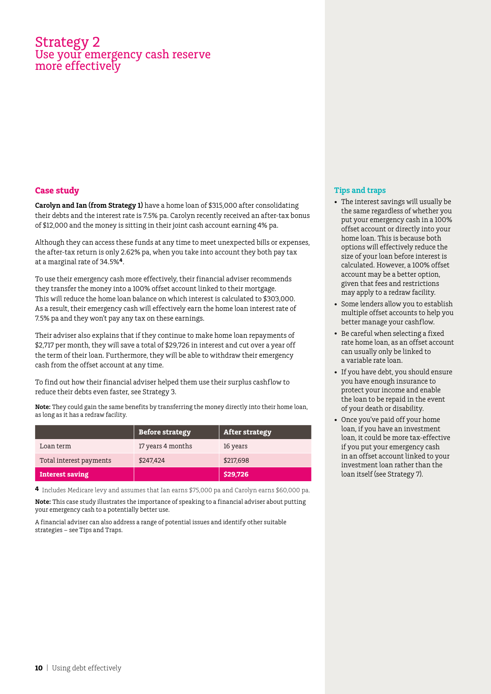# Strategy 2 Use your emergency cash reserve more effectively

# **Case study**

**Carolyn and Ian (from Strategy 1)** have a home loan of \$315,000 after consolidating their debts and the interest rate is 7.5% pa. Carolyn recently received an after-tax bonus of \$12,000 and the money is sitting in their joint cash account earning 4% pa.

Although they can access these funds at any time to meet unexpected bills or expenses, the after-tax return is only 2.62% pa, when you take into account they both pay tax at a marginal rate of 34.5%**<sup>4</sup>**.

To use their emergency cash more effectively, their financial adviser recommends they transfer the money into a 100% offset account linked to their mortgage. This will reduce the home loan balance on which interest is calculated to \$303,000. As a result, their emergency cash will effectively earn the home loan interest rate of 7.5% pa and they won't pay any tax on these earnings.

Their adviser also explains that if they continue to make home loan repayments of \$2,717 per month, they will save a total of \$29,726 in interest and cut over a year off the term of their loan. Furthermore, they will be able to withdraw their emergency cash from the offset account at any time.

To find out how their financial adviser helped them use their surplus cashflow to reduce their debts even faster, see Strategy 3.

**Note:** They could gain the same benefits by transferring the money directly into their home loan, as long as it has a redraw facility.

|                         | <b>Before strategy</b> | <b>After strategy</b> |
|-------------------------|------------------------|-----------------------|
| Loan term               | 17 years 4 months      | 16 years              |
| Total interest payments | \$247,424              | \$217.698             |
| <b>Interest saving</b>  |                        | \$29,726              |

**4** Includes Medicare levy and assumes that Ian earns \$75,000 pa and Carolyn earns \$60,000 pa.

**Note:** This case study illustrates the importance of speaking to a financial adviser about putting your emergency cash to a potentially better use.

A financial adviser can also address a range of potential issues and identify other suitable strategies – see Tips and Traps.

- • The interest savings will usually be the same regardless of whether you put your emergency cash in a 100% offset account or directly into your home loan. This is because both options will effectively reduce the size of your loan before interest is calculated. However, a 100% offset account may be a better option, given that fees and restrictions may apply to a redraw facility.
- Some lenders allow you to establish multiple offset accounts to help you better manage your cashflow.
- Be careful when selecting a fixed rate home loan, as an offset account can usually only be linked to a variable rate loan.
- • If you have debt, you should ensure you have enough insurance to protect your income and enable the loan to be repaid in the event of your death or disability.
- • Once you've paid off your home loan, if you have an investment loan, it could be more tax-effective if you put your emergency cash in an offset account linked to your investment loan rather than the loan itself (see Strategy 7).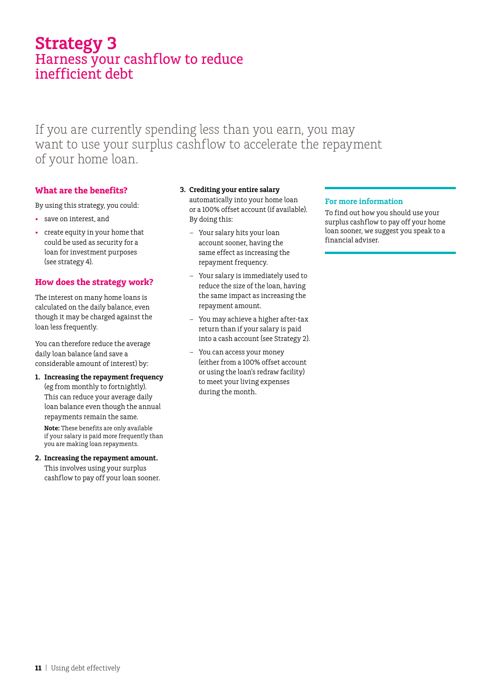# **Strategy 3** Harness your cashflow to reduce inefficient debt

If you are currently spending less than you earn, you may want to use your surplus cashflow to accelerate the repayment of your home loan.

By doing this:

# **What are the benefits?**

By using this strategy, you could:

- • save on interest, and
- • create equity in your home that could be used as security for a loan for investment purposes (see strategy 4).

# **How does the strategy work?**

The interest on many home loans is calculated on the daily balance, even though it may be charged against the loan less frequently.

You can therefore reduce the average daily loan balance (and save a considerable amount of interest) by:

**1. Increasing the repayment frequency**  (eg from monthly to fortnightly). This can reduce your average daily loan balance even though the annual repayments remain the same.

**Note:** These benefits are only available if your salary is paid more frequently than you are making loan repayments.

### **2. Increasing the repayment amount.**  This involves using your surplus cashflow to pay off your loan sooner.

automatically into your home loan or a 100% offset account (if available).

**3. Crediting your entire salary** 

- Your salary hits your loan account sooner, having the same effect as increasing the repayment frequency.
- Your salary is immediately used to reduce the size of the loan, having the same impact as increasing the repayment amount.
- You may achieve a higher after-tax return than if your salary is paid into a cash account (see Strategy 2).
- You can access your money (either from a 100% offset account or using the loan's redraw facility) to meet your living expenses during the month.

### **For more information**

To find out how you should use your surplus cashflow to pay off your home loan sooner, we suggest you speak to a financial adviser.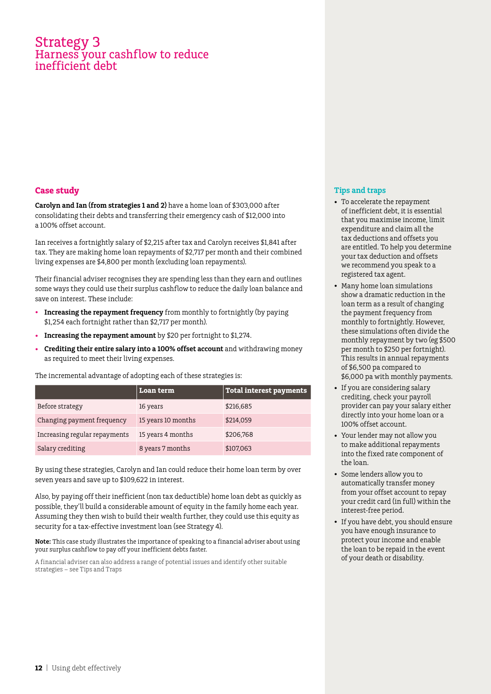# Strategy 3 Harness your cashflow to reduce inefficient debt

# **Case study**

**Carolyn and Ian (from strategies 1 and 2)** have a home loan of \$303,000 after consolidating their debts and transferring their emergency cash of \$12,000 into a 100% offset account.

Ian receives a fortnightly salary of \$2,215 after tax and Carolyn receives \$1,841 after tax. They are making home loan repayments of \$2,717 per month and their combined living expenses are \$4,800 per month (excluding loan repayments).

Their financial adviser recognises they are spending less than they earn and outlines some ways they could use their surplus cashflow to reduce the daily loan balance and save on interest. These include:

- **Increasing the repayment frequency** from monthly to fortnightly (by paying \$1,254 each fortnight rather than \$2,717 per month).
- • **Increasing the repayment amount** by \$20 per fortnight to \$1,274.
- • **Crediting their entire salary into a 100% offset account** and withdrawing money as required to meet their living expenses.

The incremental advantage of adopting each of these strategies is:

|                               | Loan term          | Total interest payments |
|-------------------------------|--------------------|-------------------------|
| Before strategy               | 16 years           | \$216,685               |
| Changing payment frequency    | 15 years 10 months | \$214,059               |
| Increasing regular repayments | 15 years 4 months  | \$206,768               |
| Salary crediting              | 8 years 7 months   | \$107,063               |

By using these strategies, Carolyn and Ian could reduce their home loan term by over seven years and save up to \$109,622 in interest.

Also, by paying off their inefficient (non tax deductible) home loan debt as quickly as possible, they'll build a considerable amount of equity in the family home each year. Assuming they then wish to build their wealth further, they could use this equity as security for a tax-effective investment loan (see Strategy 4).

**Note:** This case study illustrates the importance of speaking to a financial adviser about using your surplus cashflow to pay off your inefficient debts faster.

A financial adviser can also address a range of potential issues and identify other suitable strategies – see Tips and Traps

- To accelerate the repayment of inefficient debt, it is essential that you maximise income, limit expenditure and claim all the tax deductions and offsets you are entitled. To help you determine your tax deduction and offsets we recommend you speak to a registered tax agent.
- Many home loan simulations show a dramatic reduction in the loan term as a result of changing the payment frequency from monthly to fortnightly. However, these simulations often divide the monthly repayment by two (eg \$500 per month to \$250 per fortnight). This results in annual repayments of \$6,500 pa compared to \$6,000 pa with monthly payments.
- • If you are considering salary crediting, check your payroll provider can pay your salary either directly into your home loan or a 100% offset account.
- • Your lender may not allow you to make additional repayments into the fixed rate component of the loan.
- • Some lenders allow you to automatically transfer money from your offset account to repay your credit card (in full) within the interest-free period.
- • If you have debt, you should ensure you have enough insurance to protect your income and enable the loan to be repaid in the event of your death or disability.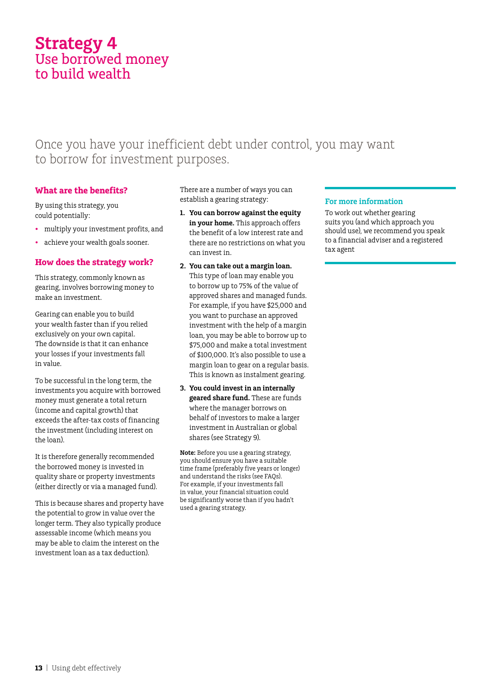# **Strategy 4** Use borrowed money to build wealth

# Once you have your inefficient debt under control, you may want to borrow for investment purposes.

# **What are the benefits?**

By using this strategy, you could potentially:

- multiply your investment profits, and
- achieve your wealth goals sooner.

# **How does the strategy work?**

This strategy, commonly known as gearing, involves borrowing money to make an investment.

Gearing can enable you to build your wealth faster than if you relied exclusively on your own capital. The downside is that it can enhance your losses if your investments fall in value.

To be successful in the long term, the investments you acquire with borrowed money must generate a total return (income and capital growth) that exceeds the after-tax costs of financing the investment (including interest on the loan).

It is therefore generally recommended the borrowed money is invested in quality share or property investments (either directly or via a managed fund).

This is because shares and property have the potential to grow in value over the longer term. They also typically produce assessable income (which means you may be able to claim the interest on the investment loan as a tax deduction).

There are a number of ways you can establish a gearing strategy:

- **1. You can borrow against the equity**  in your home. This approach offers the benefit of a low interest rate and there are no restrictions on what you can invest in.
- **2. You can take out a margin loan.**

This type of loan may enable you to borrow up to 75% of the value of approved shares and managed funds. For example, if you have \$25,000 and you want to purchase an approved investment with the help of a margin loan, you may be able to borrow up to \$75,000 and make a total investment of \$100,000. It's also possible to use a margin loan to gear on a regular basis. This is known as instalment gearing.

**3. You could invest in an internally geared share fund.** These are funds where the manager borrows on behalf of investors to make a larger investment in Australian or global shares (see Strategy 9).

**Note:** Before you use a gearing strategy, you should ensure you have a suitable time frame (preferably five years or longer) and understand the risks (see FAQs). For example, if your investments fall in value, your financial situation could be significantly worse than if you hadn't used a gearing strategy.

### **For more information**

To work out whether gearing suits you (and which approach you should use), we recommend you speak to a financial adviser and a registered tax agent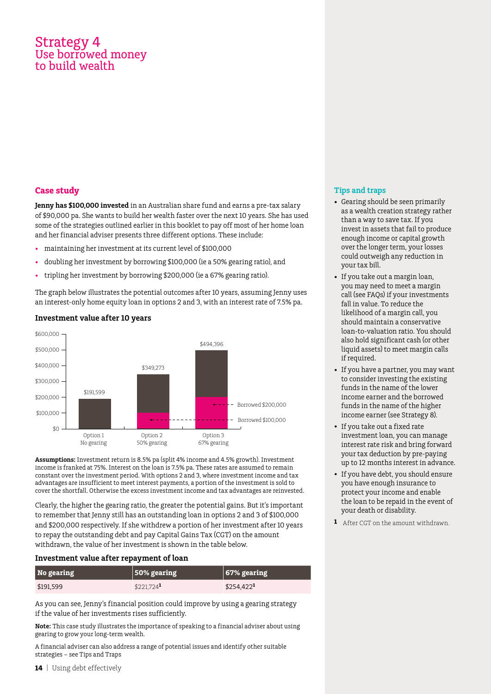# Strategy 4 Use borrowed money to build wealth

# **Case study**

**Jenny has \$100,000 invested** in an Australian share fund and earns a pre-tax salary of \$90,000 pa. She wants to build her wealth faster over the next 10 years. She has used some of the strategies outlined earlier in this booklet to pay off most of her home loan and her financial adviser presents three different options. These include:

- maintaining her investment at its current level of \$100,000
- doubling her investment by borrowing \$100,000 (ie a 50% gearing ratio), and
- tripling her investment by borrowing \$200,000 (ie a 67% gearing ratio).

The graph below illustrates the potential outcomes after 10 years, assuming Jenny uses an interest-only home equity loan in options 2 and 3, with an interest rate of 7.5% pa.



### **Investment value after 10 years**

**Assumptions:** Investment return is 8.5% pa (split 4% income and 4.5% growth). Investment income is franked at 75%. Interest on the loan is 7.5% pa. These rates are assumed to remain constant over the investment period. With options 2 and 3, where investment income and tax advantages are insufficient to meet interest payments, a portion of the investment is sold to cover the shortfall. Otherwise the excess investment income and tax advantages are reinvested.

Clearly, the higher the gearing ratio, the greater the potential gains. But it's important to remember that Jenny still has an outstanding loan in options 2 and 3 of \$100,000 and \$200,000 respectively. If she withdrew a portion of her investment after 10 years to repay the outstanding debt and pay Capital Gains Tax (CGT) on the amount withdrawn, the value of her investment is shown in the table below.

### **Investment value after repayment of loan**

| No gearing | $\vert$ 50% gearing     | $\vert$ 67% gearing     |
|------------|-------------------------|-------------------------|
| \$191,599  | $$221.724$ <sup>1</sup> | $$254,422$ <sup>1</sup> |

As you can see, Jenny's financial position could improve by using a gearing strategy if the value of her investments rises sufficiently.

**Note:** This case study illustrates the importance of speaking to a financial adviser about using gearing to grow your long-term wealth.

A financial adviser can also address a range of potential issues and identify other suitable strategies – see Tips and Traps

- • Gearing should be seen primarily as a wealth creation strategy rather than a way to save tax. If you invest in assets that fail to produce enough income or capital growth over the longer term, your losses could outweigh any reduction in your tax bill.
- If you take out a margin loan, you may need to meet a margin call (see FAQs) if your investments fall in value. To reduce the likelihood of a margin call, you should maintain a conservative loan-to-valuation ratio. You should also hold significant cash (or other liquid assets) to meet margin calls if required.
- If you have a partner, you may want to consider investing the existing funds in the name of the lower income earner and the borrowed funds in the name of the higher income earner (see Strategy 8).
- • If you take out a fixed rate investment loan, you can manage interest rate risk and bring forward your tax deduction by pre-paying up to 12 months interest in advance.
- If you have debt, you should ensure you have enough insurance to protect your income and enable the loan to be repaid in the event of your death or disability.
- **1** After CGT on the amount withdrawn.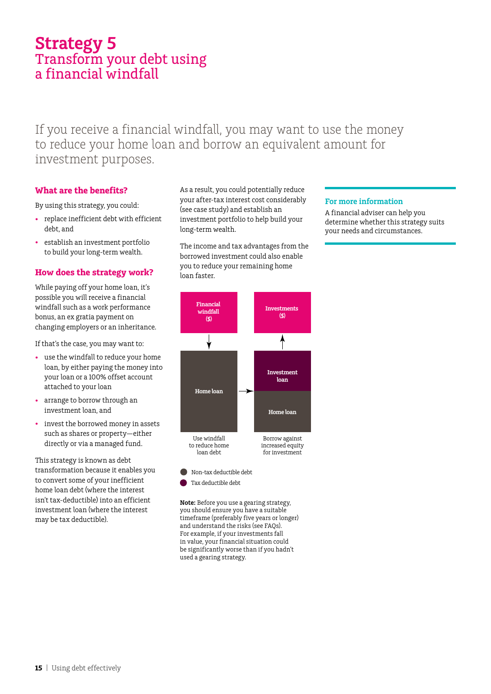# **Strategy 5** Transform your debt using a financial windfall

If you receive a financial windfall, you may want to use the money to reduce your home loan and borrow an equivalent amount for investment purposes.

# **What are the benefits?**

By using this strategy, you could:

- • replace inefficient debt with efficient debt, and
- • establish an investment portfolio to build your long-term wealth.

# **How does the strategy work?**

While paying off your home loan, it's possible you will receive a financial windfall such as a work performance bonus, an ex gratia payment on changing employers or an inheritance.

If that's the case, you may want to:

- • use the windfall to reduce your home loan, by either paying the money into your loan or a 100% offset account attached to your loan
- arrange to borrow through an investment loan, and
- invest the borrowed money in assets such as shares or property—either directly or via a managed fund.

This strategy is known as debt transformation because it enables you to convert some of your inefficient home loan debt (where the interest isn't tax-deductible) into an efficient investment loan (where the interest may be tax deductible).

As a result, you could potentially reduce your after-tax interest cost considerably (see case study) and establish an investment portfolio to help build your long-term wealth.

The income and tax advantages from the borrowed investment could also enable you to reduce your remaining home loan faster.

### **For more information**

A financial adviser can help you determine whether this strategy suits your needs and circumstances.



Tax deductible debt

**Note:** Before you use a gearing strategy, you should ensure you have a suitable timeframe (preferably five years or longer) and understand the risks (see FAQs). For example, if your investments fall in value, your financial situation could be significantly worse than if you hadn't used a gearing strategy.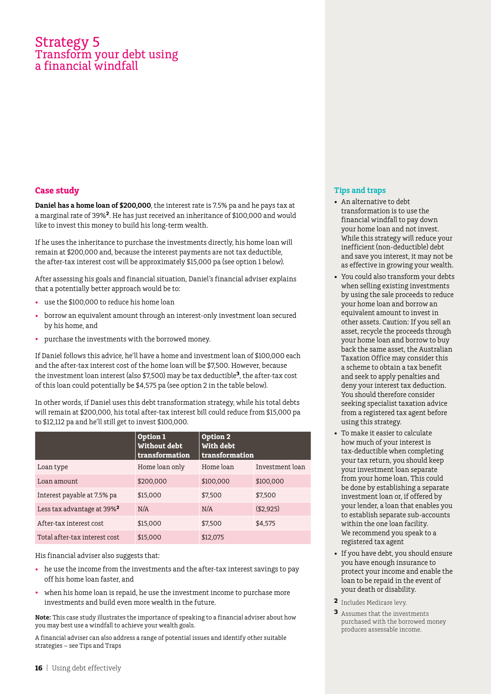# Strategy 5 Transform your debt using inancial windfall

# **Case study**

**Daniel has a home loan of \$200,000**, the interest rate is 7.5% pa and he pays tax at a marginal rate of 39%**<sup>2</sup>**. He has just received an inheritance of \$100,000 and would like to invest this money to build his long-term wealth.

If he uses the inheritance to purchase the investments directly, his home loan will remain at \$200,000 and, because the interest payments are not tax deductible, the after-tax interest cost will be approximately \$15,000 pa (see option 1 below).

After assessing his goals and financial situation, Daniel's financial adviser explains that a potentially better approach would be to:

- use the \$100,000 to reduce his home loan
- borrow an equivalent amount through an interest-only investment loan secured by his home, and
- purchase the investments with the borrowed money.

If Daniel follows this advice, he'll have a home and investment loan of \$100,000 each and the after-tax interest cost of the home loan will be \$7,500. However, because the investment loan interest (also \$7,500) may be tax deductible**3**, the after-tax cost of this loan could potentially be \$4,575 pa (see option 2 in the table below).

In other words, if Daniel uses this debt transformation strategy, while his total debts will remain at \$200,000, his total after-tax interest bill could reduce from \$15,000 pa to \$12,112 pa and he'll still get to invest \$100,000.

|                                        | Option 1<br>Without debt<br>transformation | Option 2<br>With debt<br>transformation |                 |
|----------------------------------------|--------------------------------------------|-----------------------------------------|-----------------|
| Loan type                              | Home loan only                             | Home loan                               | Investment loan |
| Loan amount                            | \$200,000                                  | \$100,000                               | \$100,000       |
| Interest payable at 7.5% pa            | \$15,000                                   | \$7,500                                 | \$7.500         |
| Less tax advantage at 39% <sup>2</sup> | N/A                                        | N/A                                     | ( \$2, 925)     |
| After-tax interest cost                | \$15,000                                   | \$7.500                                 | \$4,575         |
| Total after-tax interest cost          | \$15,000                                   | \$12,075                                |                 |

### His financial adviser also suggests that:

- he use the income from the investments and the after-tax interest savings to pay off his home loan faster, and
- when his home loan is repaid, he use the investment income to purchase more investments and build even more wealth in the future.

**Note:** This case study illustrates the importance of speaking to a financial adviser about how you may best use a windfall to achieve your wealth goals.

A financial adviser can also address a range of potential issues and identify other suitable strategies – see Tips and Traps

- • An alternative to debt transformation is to use the financial windfall to pay down your home loan and not invest. While this strategy will reduce your inefficient (non-deductible) debt and save you interest, it may not be as effective in growing your wealth.
- You could also transform your debts when selling existing investments by using the sale proceeds to reduce your home loan and borrow an equivalent amount to invest in other assets. Caution: If you sell an asset, recycle the proceeds through your home loan and borrow to buy back the same asset, the Australian Taxation Office may consider this a scheme to obtain a tax benefit and seek to apply penalties and deny your interest tax deduction. You should therefore consider seeking specialist taxation advice from a registered tax agent before using this strategy.
- • To make it easier to calculate how much of your interest is tax-deductible when completing your tax return, you should keep your investment loan separate from your home loan. This could be done by establishing a separate investment loan or, if offered by your lender, a loan that enables you to establish separate sub-accounts within the one loan facility. We recommend you speak to a registered tax agent
- If you have debt, you should ensure you have enough insurance to protect your income and enable the loan to be repaid in the event of your death or disability.
- **2** Includes Medicare levy.
- **3** Assumes that the investments purchased with the borrowed money produces assessable income.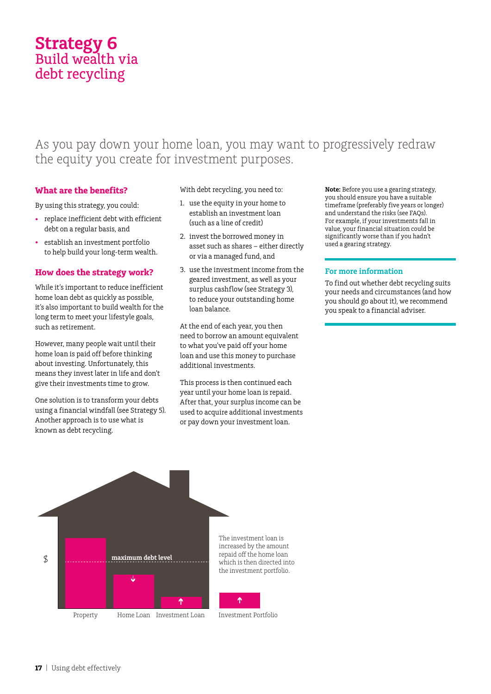# **Strategy 6** Build wealth via debt recycling

# As you pay down your home loan, you may want to progressively redraw the equity you create for investment purposes.

# **What are the benefits?**

By using this strategy, you could:

- • replace inefficient debt with efficient debt on a regular basis, and
- • establish an investment portfolio to help build your long-term wealth.

### **How does the strategy work?**

While it's important to reduce inefficient home loan debt as quickly as possible, it's also important to build wealth for the long term to meet your lifestyle goals, such as retirement.

However, many people wait until their home loan is paid off before thinking about investing. Unfortunately, this means they invest later in life and don't give their investments time to grow.

One solution is to transform your debts using a financial windfall (see Strategy 5). Another approach is to use what is known as debt recycling.

With debt recycling, you need to:

- 1. use the equity in your home to establish an investment loan (such as a line of credit)
- 2. invest the borrowed money in asset such as shares – either directly or via a managed fund, and
- 3. use the investment income from the geared investment, as well as your surplus cashflow (see Strategy 3), to reduce your outstanding home loan balance.

At the end of each year, you then need to borrow an amount equivalent to what you've paid off your home loan and use this money to purchase additional investments.

This process is then continued each year until your home loan is repaid. After that, your surplus income can be used to acquire additional investments or pay down your investment loan.

**Note:** Before you use a gearing strategy, you should ensure you have a suitable timeframe (preferably five years or longer) and understand the risks (see FAQs). For example, if your investments fall in value, your financial situation could be significantly worse than if you hadn't used a gearing strategy.

### **For more information**

To find out whether debt recycling suits your needs and circumstances (and how you should go about it), we recommend you speak to a financial adviser.

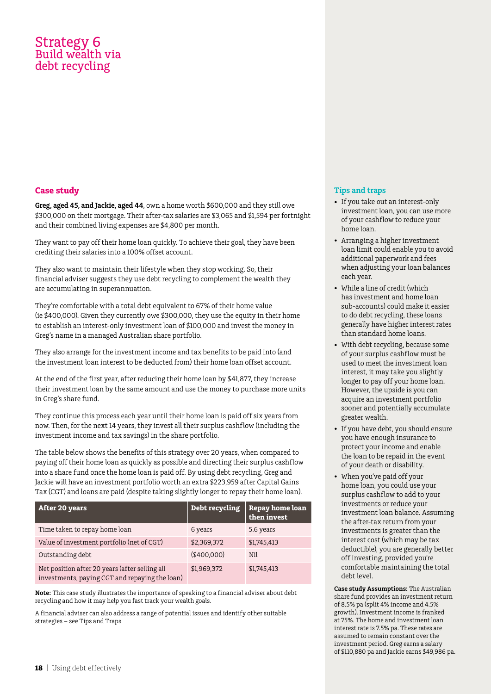# Strategy 6 Build wealth via debt recycling

# **Case study**

**Greg, aged 45, and Jackie, aged 44**, own a home worth \$600,000 and they still owe \$300,000 on their mortgage. Their after-tax salaries are \$3,065 and \$1,594 per fortnight and their combined living expenses are \$4,800 per month.

They want to pay off their home loan quickly. To achieve their goal, they have been crediting their salaries into a 100% offset account.

They also want to maintain their lifestyle when they stop working. So, their financial adviser suggests they use debt recycling to complement the wealth they are accumulating in superannuation.

They're comfortable with a total debt equivalent to 67% of their home value (ie \$400,000). Given they currently owe \$300,000, they use the equity in their home to establish an interest-only investment loan of \$100,000 and invest the money in Greg's name in a managed Australian share portfolio.

They also arrange for the investment income and tax benefits to be paid into (and the investment loan interest to be deducted from) their home loan offset account.

At the end of the first year, after reducing their home loan by \$41,877, they increase their investment loan by the same amount and use the money to purchase more units in Greg's share fund.

They continue this process each year until their home loan is paid off six years from now. Then, for the next 14 years, they invest all their surplus cashflow (including the investment income and tax savings) in the share portfolio.

The table below shows the benefits of this strategy over 20 years, when compared to paying off their home loan as quickly as possible and directing their surplus cashflow into a share fund once the home loan is paid off. By using debt recycling, Greg and Jackie will have an investment portfolio worth an extra \$223,959 after Capital Gains Tax (CGT) and loans are paid (despite taking slightly longer to repay their home loan).

| After 20 years                                                                                   | Debt recycling | Repay home loan<br>then invest |
|--------------------------------------------------------------------------------------------------|----------------|--------------------------------|
| Time taken to repay home loan                                                                    | 6 years        | 5.6 years                      |
| Value of investment portfolio (net of CGT)                                                       | \$2,369,372    | \$1,745,413                    |
| Outstanding debt                                                                                 | ( \$400.000)   | Nil                            |
| Net position after 20 years (after selling all<br>investments, paying CGT and repaying the loan) | \$1,969,372    | \$1,745,413                    |

**Note:** This case study illustrates the importance of speaking to a financial adviser about debt recycling and how it may help you fast track your wealth goals.

A financial adviser can also address a range of potential issues and identify other suitable strategies – see Tips and Traps

# **Tips and traps**

- If you take out an interest-only investment loan, you can use more of your cashflow to reduce your home loan.
- • Arranging a higher investment loan limit could enable you to avoid additional paperwork and fees when adjusting your loan balances each year.
- • While a line of credit (which has investment and home loan sub-accounts) could make it easier to do debt recycling, these loans generally have higher interest rates than standard home loans.
- With debt recycling, because some of your surplus cashflow must be used to meet the investment loan interest, it may take you slightly longer to pay off your home loan. However, the upside is you can acquire an investment portfolio sooner and potentially accumulate greater wealth.
- • If you have debt, you should ensure you have enough insurance to protect your income and enable the loan to be repaid in the event of your death or disability.
- • When you've paid off your home loan, you could use your surplus cashflow to add to your investments or reduce your investment loan balance. Assuming the after-tax return from your investments is greater than the interest cost (which may be tax deductible), you are generally better off investing, provided you're comfortable maintaining the total debt level.

**Case study Assumptions:** The Australian share fund provides an investment return of 8.5% pa (split 4% income and 4.5% growth). Investment income is franked at 75%. The home and investment loan interest rate is 7.5% pa. These rates are assumed to remain constant over the investment period. Greg earns a salary of \$110,880 pa and Jackie earns \$49,986 pa.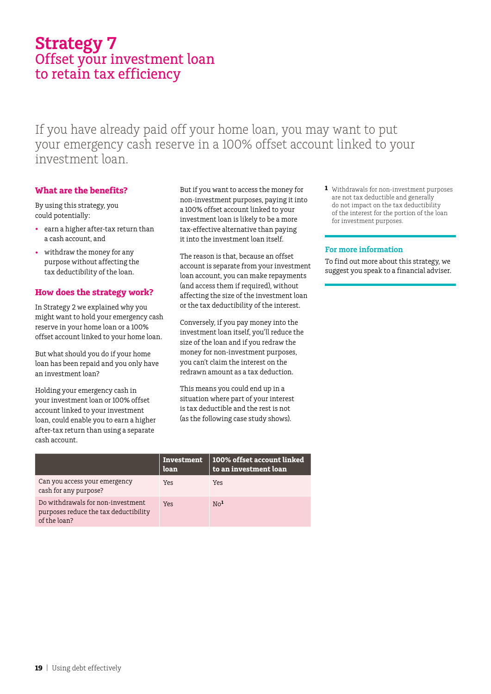# **Strategy 7** Offset your investment loan to retain tax efficiency

If you have already paid off your home loan, you may want to put your emergency cash reserve in a 100% offset account linked to your investment loan.

# **What are the benefits?**

By using this strategy, you could potentially:

- • earn a higher after-tax return than a cash account, and
- withdraw the money for any purpose without affecting the tax deductibility of the loan.

# **How does the strategy work?**

In Strategy 2 we explained why you might want to hold your emergency cash reserve in your home loan or a 100% offset account linked to your home loan.

But what should you do if your home loan has been repaid and you only have an investment loan?

Holding your emergency cash in your investment loan or 100% offset account linked to your investment loan, could enable you to earn a higher after-tax return than using a separate cash account.

But if you want to access the money for non-investment purposes, paying it into a 100% offset account linked to your investment loan is likely to be a more tax-effective alternative than paying it into the investment loan itself.

The reason is that, because an offset account is separate from your investment loan account, you can make repayments (and access them if required), without affecting the size of the investment loan or the tax deductibility of the interest.

Conversely, if you pay money into the investment loan itself, you'll reduce the size of the loan and if you redraw the money for non-investment purposes, you can't claim the interest on the redrawn amount as a tax deduction.

This means you could end up in a situation where part of your interest is tax deductible and the rest is not (as the following case study shows).

**1** Withdrawals for non-investment purposes are not tax deductible and generally do not impact on the tax deductibility of the interest for the portion of the loan for investment purposes.

### **For more information**

To find out more about this strategy, we suggest you speak to a financial adviser.

|                                                                                            | <b>Investment</b><br>loan | $\mid$ 100% offset account linked<br>to an investment loan |
|--------------------------------------------------------------------------------------------|---------------------------|------------------------------------------------------------|
| Can you access your emergency<br>cash for any purpose?                                     | Yes                       | Yes                                                        |
| Do withdrawals for non-investment<br>purposes reduce the tax deductibility<br>of the loan? | Yes                       | N <sub>0</sub>                                             |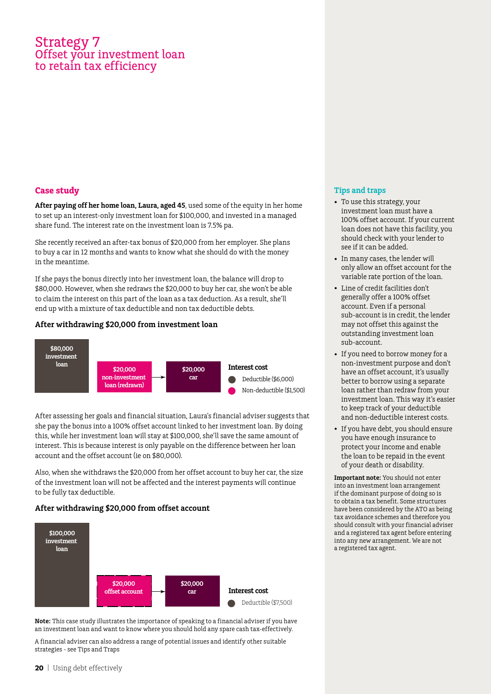# Strategy 7 Offset your investment loan to retain tax efficiency

# **Case study**

**After paying off her home loan, Laura, aged 45**, used some of the equity in her home to set up an interest-only investment loan for \$100,000, and invested in a managed share fund. The interest rate on the investment loan is 7.5% pa.

She recently received an after-tax bonus of \$20,000 from her employer. She plans to buy a car in 12 months and wants to know what she should do with the money in the meantime.

If she pays the bonus directly into her investment loan, the balance will drop to \$80,000. However, when she redraws the \$20,000 to buy her car, she won't be able to claim the interest on this part of the loan as a tax deduction. As a result, she'll end up with a mixture of tax deductible and non tax deductible debts.

### **After withdrawing \$20,000 from investment loan**



After assessing her goals and financial situation, Laura's financial adviser suggests that she pay the bonus into a 100% offset account linked to her investment loan. By doing this, while her investment loan will stay at \$100,000, she'll save the same amount of interest. This is because interest is only payable on the difference between her loan account and the offset account (ie on \$80,000).

Also, when she withdraws the \$20,000 from her offset account to buy her car, the size of the investment loan will not be affected and the interest payments will continue to be fully tax deductible.

# **After withdrawing \$20,000 from offset account**



**Note:** This case study illustrates the importance of speaking to a financial adviser if you have an investment loan and want to know where you should hold any spare cash tax-effectively.

A financial adviser can also address a range of potential issues and identify other suitable strategies - see Tips and Traps

### **Tips and traps**

- To use this strategy, your investment loan must have a 100% offset account. If your current loan does not have this facility, you should check with your lender to see if it can be added.
- • In many cases, the lender will only allow an offset account for the variable rate portion of the loan.
- • Line of credit facilities don't generally offer a 100% offset account. Even if a personal sub-account is in credit, the lender may not offset this against the outstanding investment loan sub-account.
- If you need to borrow money for a non-investment purpose and don't have an offset account, it's usually better to borrow using a separate loan rather than redraw from your investment loan. This way it's easier to keep track of your deductible and non-deductible interest costs.
- • If you have debt, you should ensure you have enough insurance to protect your income and enable the loan to be repaid in the event of your death or disability.

**Important note:** You should not enter into an investment loan arrangement if the dominant purpose of doing so is to obtain a tax benefit. Some structures have been considered by the ATO as being tax avoidance schemes and therefore you should consult with your financial adviser and a registered tax agent before entering into any new arrangement. We are not a registered tax agent.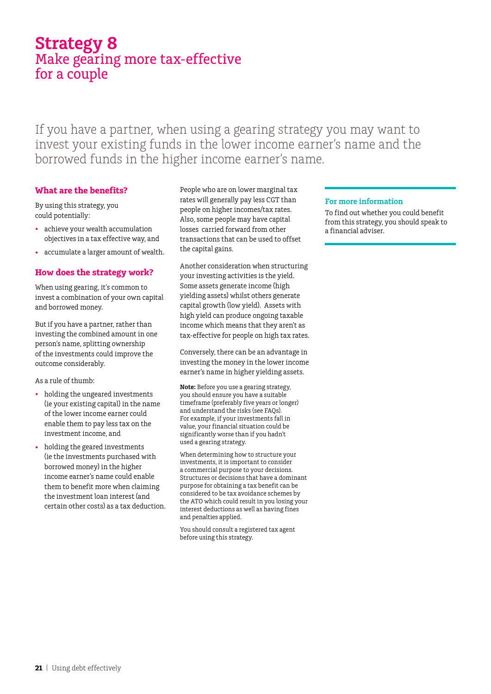# **Strategy 8** Make gearing more tax-effective for a couple

If you have a partner, when using a gearing strategy you may want to invest your existing funds in the lower income earner's name and the borrowed funds in the higher income earner's name.

# **What are the benefits?**

By using this strategy, you could potentially:

- • achieve your wealth accumulation objectives in a tax effective way, and
- • accumulate a larger amount of wealth.

# **How does the strategy work?**

When using gearing, it's common to invest a combination of your own capital and borrowed money.

But if you have a partner, rather than investing the combined amount in one person's name, splitting ownership of the investments could improve the outcome considerably.

### As a rule of thumb:

- holding the ungeared investments (ie your existing capital) in the name of the lower income earner could enable them to pay less tax on the investment income, and
- • holding the geared investments (ie the investments purchased with borrowed money) in the higher income earner's name could enable them to benefit more when claiming the investment loan interest (and certain other costs) as a tax deduction.

People who are on lower marginal tax rates will generally pay less CGT than people on higher incomes/tax rates. Also, some people may have capital losses carried forward from other transactions that can be used to offset the capital gains.

Another consideration when structuring your investing activities is the yield. Some assets generate income (high yielding assets) whilst others generate capital growth (low yield). Assets with high yield can produce ongoing taxable income which means that they aren't as tax-effective for people on high tax rates.

Conversely, there can be an advantage in investing the money in the lower income earner's name in higher yielding assets.

**Note:** Before you use a gearing strategy, you should ensure you have a suitable timeframe (preferably five years or longer) and understand the risks (see FAQs). For example, if your investments fall in value, your financial situation could be significantly worse than if you hadn't used a gearing strategy.

When determining how to structure your investments, it is important to consider a commercial purpose to your decisions. Structures or decisions that have a dominant purpose for obtaining a tax benefit can be considered to be tax avoidance schemes by the ATO which could result in you losing your interest deductions as well as having fines and penalties applied.

You should consult a registered tax agent before using this strategy.

### **For more information**

To find out whether you could benefit from this strategy, you should speak to a financial adviser.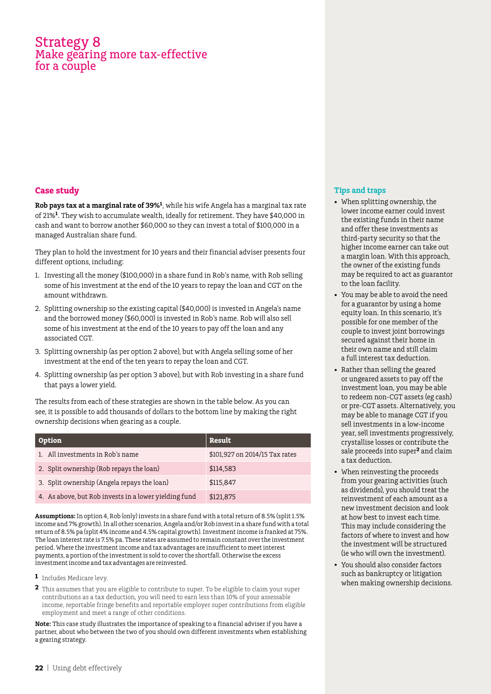# Strategy 8 Make gearing more tax-effective for a couple

# **Case study**

**Rob pays tax at a marginal rate of 39%<sup>1</sup>**, while his wife Angela has a marginal tax rate of 21%**<sup>1</sup>**. They wish to accumulate wealth, ideally for retirement. They have \$40,000 in cash and want to borrow another \$60,000 so they can invest a total of \$100,000 in a managed Australian share fund.

They plan to hold the investment for 10 years and their financial adviser presents four different options, including:

- 1. Investing all the money (\$100,000) in a share fund in Rob's name, with Rob selling some of his investment at the end of the 10 years to repay the loan and CGT on the amount withdrawn.
- 2. Splitting ownership so the existing capital (\$40,000) is invested in Angela's name and the borrowed money (\$60,000) is invested in Rob's name. Rob will also sell some of his investment at the end of the 10 years to pay off the loan and any associated CGT.
- 3. Splitting ownership (as per option 2 above), but with Angela selling some of her investment at the end of the ten years to repay the loan and CGT.
- 4. Splitting ownership (as per option 3 above), but with Rob investing in a share fund that pays a lower yield.

The results from each of these strategies are shown in the table below. As you can see, it is possible to add thousands of dollars to the bottom line by making the right ownership decisions when gearing as a couple.

| Option                                                | Result                         |
|-------------------------------------------------------|--------------------------------|
| 1. All investments in Rob's name                      | \$101,927 on 2014/15 Tax rates |
| 2. Split ownership (Rob repays the loan)              | \$114,583                      |
| 3. Split ownership (Angela repays the loan)           | \$115,847                      |
| 4. As above, but Rob invests in a lower yielding fund | \$121,875                      |

**Assumptions:** In option 4, Rob (only) invests in a share fund with a total return of 8.5% (split 1.5% income and 7% growth). In all other scenarios, Angela and/or Rob invest in a share fund with a total return of 8.5% pa (split 4% income and 4.5% capital growth). Investment income is franked at 75%. The loan interest rate is 7.5% pa. These rates are assumed to remain constant over the investment period. Where the investment income and tax advantages are insufficient to meet interest payments, a portion of the investment is sold to cover the shortfall. Otherwise the excess investment income and tax advantages are reinvested.

- **1** Includes Medicare levy.
- **2** This assumes that you are eligible to contribute to super. To be eligible to claim your super contributions as a tax deduction, you will need to earn less than 10% of your assessable income, reportable fringe benefits and reportable employer super contributions from eligible employment and meet a range of other conditions.

**Note:** This case study illustrates the importance of speaking to a financial adviser if you have a partner, about who between the two of you should own different investments when establishing a gearing strategy.

- • When splitting ownership, the lower income earner could invest the existing funds in their name and offer these investments as third-party security so that the higher income earner can take out a margin loan. With this approach, the owner of the existing funds may be required to act as guarantor to the loan facility.
- • You may be able to avoid the need for a guarantor by using a home equity loan. In this scenario, it's possible for one member of the couple to invest joint borrowings secured against their home in their own name and still claim a full interest tax deduction.
- Rather than selling the geared or ungeared assets to pay off the investment loan, you may be able to redeem non-CGT assets (eg cash) or pre-CGT assets. Alternatively, you may be able to manage CGT if you sell investments in a low-income year, sell investments progressively, crystallise losses or contribute the sale proceeds into super**2** and claim a tax deduction.
- When reinvesting the proceeds from your gearing activities (such as dividends), you should treat the reinvestment of each amount as a new investment decision and look at how best to invest each time. This may include considering the factors of where to invest and how the investment will be structured (ie who will own the investment).
- You should also consider factors such as bankruptcy or litigation when making ownership decisions.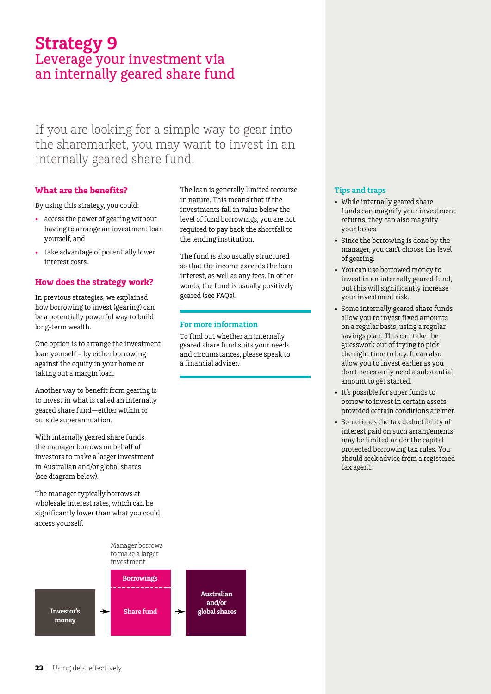# **Strategy 9** Leverage your investment via an internally geared share fund

If you are looking for a simple way to gear into the sharemarket, you may want to invest in an internally geared share fund.

# **What are the benefits?**

By using this strategy, you could:

- • access the power of gearing without having to arrange an investment loan yourself, and
- take advantage of potentially lower interest costs.

# **How does the strategy work?**

In previous strategies, we explained how borrowing to invest (gearing) can be a potentially powerful way to build long-term wealth.

One option is to arrange the investment loan yourself – by either borrowing against the equity in your home or taking out a margin loan.

Another way to benefit from gearing is to invest in what is called an internally geared share fund—either within or outside superannuation.

With internally geared share funds, the manager borrows on behalf of investors to make a larger investment in Australian and/or global shares (see diagram below).

The manager typically borrows at wholesale interest rates, which can be significantly lower than what you could access yourself.

> **Borrowings** Manager borrows to make a larger investment

**Australian and/or Investor's global shares** ┶ **Share fund** → **money**

The loan is generally limited recourse in nature. This means that if the investments fall in value below the level of fund borrowings, you are not required to pay back the shortfall to the lending institution.

The fund is also usually structured so that the income exceeds the loan interest, as well as any fees. In other words, the fund is usually positively geared (see FAQs).

### **For more information**

To find out whether an internally geared share fund suits your needs and circumstances, please speak to a financial adviser.

- • While internally geared share funds can magnify your investment returns, they can also magnify your losses.
- Since the borrowing is done by the manager, you can't choose the level of gearing.
- • You can use borrowed money to invest in an internally geared fund, but this will significantly increase your investment risk.
- • Some internally geared share funds allow you to invest fixed amounts on a regular basis, using a regular savings plan. This can take the guesswork out of trying to pick the right time to buy. It can also allow you to invest earlier as you don't necessarily need a substantial amount to get started.
- • It's possible for super funds to borrow to invest in certain assets, provided certain conditions are met.
- • Sometimes the tax deductibility of interest paid on such arrangements may be limited under the capital protected borrowing tax rules. You should seek advice from a registered tax agent.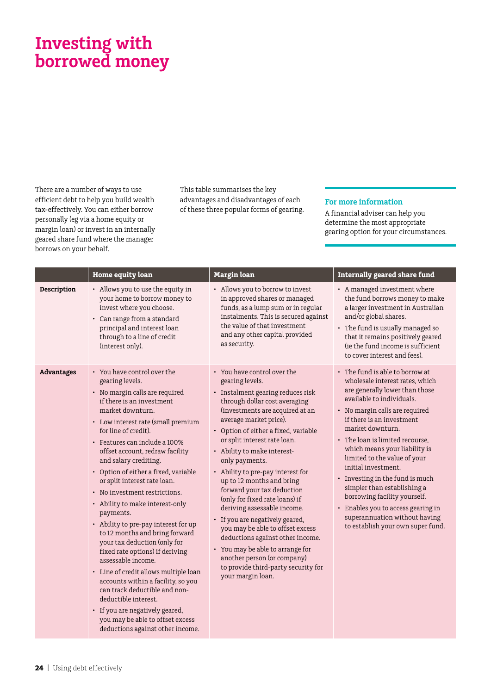# **Investing with borrowed money**

There are a number of ways to use efficient debt to help you build wealth tax-effectively. You can either borrow personally (eg via a home equity or margin loan) or invest in an internally geared share fund where the manager borrows on your behalf.

This table summarises the key advantages and disadvantages of each of these three popular forms of gearing.

### **For more information**

A financial adviser can help you determine the most appropriate gearing option for your circumstances.

|                   | <b>Home equity loan</b>                                                                                                                                                                                                                                                                                                                                                                                                                                                                                                                                                                                                                                                                                                                                                                                                                                                     | <b>Margin</b> loan                                                                                                                                                                                                                                                                                                                                                                                                                                                                                                                                                                                                                                                                                                    | Internally geared share fund                                                                                                                                                                                                                                                                                                                                                                                                                                                                                                                                  |
|-------------------|-----------------------------------------------------------------------------------------------------------------------------------------------------------------------------------------------------------------------------------------------------------------------------------------------------------------------------------------------------------------------------------------------------------------------------------------------------------------------------------------------------------------------------------------------------------------------------------------------------------------------------------------------------------------------------------------------------------------------------------------------------------------------------------------------------------------------------------------------------------------------------|-----------------------------------------------------------------------------------------------------------------------------------------------------------------------------------------------------------------------------------------------------------------------------------------------------------------------------------------------------------------------------------------------------------------------------------------------------------------------------------------------------------------------------------------------------------------------------------------------------------------------------------------------------------------------------------------------------------------------|---------------------------------------------------------------------------------------------------------------------------------------------------------------------------------------------------------------------------------------------------------------------------------------------------------------------------------------------------------------------------------------------------------------------------------------------------------------------------------------------------------------------------------------------------------------|
| Description       | • Allows you to use the equity in<br>your home to borrow money to<br>invest where you choose.<br>• Can range from a standard<br>principal and interest loan<br>through to a line of credit<br>(interest only).                                                                                                                                                                                                                                                                                                                                                                                                                                                                                                                                                                                                                                                              | • Allows you to borrow to invest<br>in approved shares or managed<br>funds, as a lump sum or in regular<br>instalments. This is secured against<br>the value of that investment<br>and any other capital provided<br>as security.                                                                                                                                                                                                                                                                                                                                                                                                                                                                                     | • A managed investment where<br>the fund borrows money to make<br>a larger investment in Australian<br>and/or global shares.<br>• The fund is usually managed so<br>that it remains positively geared<br>(ie the fund income is sufficient<br>to cover interest and fees).                                                                                                                                                                                                                                                                                    |
| <b>Advantages</b> | • You have control over the<br>gearing levels.<br>• No margin calls are required<br>if there is an investment<br>market downturn.<br>• Low interest rate (small premium<br>for line of credit).<br>· Features can include a 100%<br>offset account, redraw facility<br>and salary crediting.<br>• Option of either a fixed, variable<br>or split interest rate loan.<br>• No investment restrictions.<br>• Ability to make interest-only<br>payments.<br>• Ability to pre-pay interest for up<br>to 12 months and bring forward<br>your tax deduction (only for<br>fixed rate options) if deriving<br>assessable income.<br>• Line of credit allows multiple loan<br>accounts within a facility, so you<br>can track deductible and non-<br>deductible interest.<br>• If you are negatively geared,<br>you may be able to offset excess<br>deductions against other income. | • You have control over the<br>gearing levels.<br>• Instalment gearing reduces risk<br>through dollar cost averaging<br>(investments are acquired at an<br>average market price).<br>• Option of either a fixed, variable<br>or split interest rate loan.<br>• Ability to make interest-<br>only payments.<br>• Ability to pre-pay interest for<br>up to 12 months and bring<br>forward your tax deduction<br>(only for fixed rate loans) if<br>deriving assessable income.<br>• If you are negatively geared,<br>you may be able to offset excess<br>deductions against other income.<br>• You may be able to arrange for<br>another person (or company)<br>to provide third-party security for<br>your margin loan. | • The fund is able to borrow at<br>wholesale interest rates, which<br>are generally lower than those<br>available to individuals.<br>• No margin calls are required<br>if there is an investment<br>market downturn.<br>• The loan is limited recourse.<br>which means your liability is<br>limited to the value of your<br>initial investment.<br>• Investing in the fund is much<br>simpler than establishing a<br>borrowing facility yourself.<br>• Enables you to access gearing in<br>superannuation without having<br>to establish your own super fund. |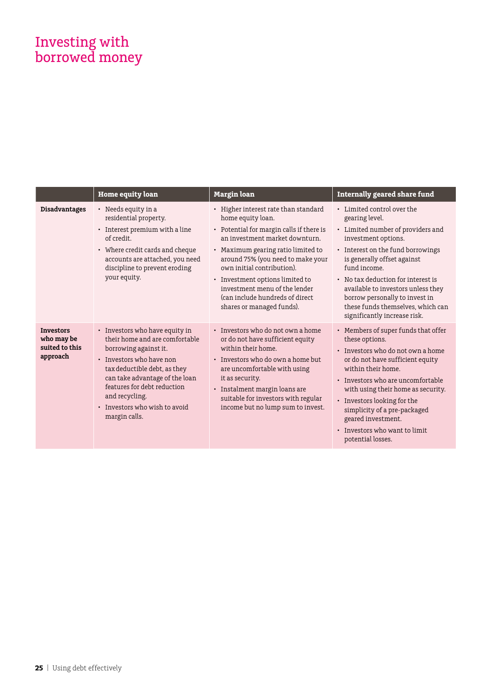# Investing with borrowed money

|                                                              | <b>Home equity loan</b>                                                                                                                                                                                                                                                                    | <b>Margin</b> loan                                                                                                                                                                                                                                                                                                                                                                   | <b>Internally geared share fund</b>                                                                                                                                                                                                                                                                                                                                             |
|--------------------------------------------------------------|--------------------------------------------------------------------------------------------------------------------------------------------------------------------------------------------------------------------------------------------------------------------------------------------|--------------------------------------------------------------------------------------------------------------------------------------------------------------------------------------------------------------------------------------------------------------------------------------------------------------------------------------------------------------------------------------|---------------------------------------------------------------------------------------------------------------------------------------------------------------------------------------------------------------------------------------------------------------------------------------------------------------------------------------------------------------------------------|
| <b>Disadvantages</b>                                         | $\cdot$ Needs equity in a<br>residential property.<br>• Interest premium with a line<br>of credit.<br>• Where credit cards and cheque<br>accounts are attached, you need<br>discipline to prevent eroding<br>your equity.                                                                  | • Higher interest rate than standard<br>home equity loan.<br>• Potential for margin calls if there is<br>an investment market downturn.<br>• Maximum gearing ratio limited to<br>around 75% (you need to make your<br>own initial contribution).<br>• Investment options limited to<br>investment menu of the lender<br>(can include hundreds of direct<br>shares or managed funds). | • Limited control over the<br>gearing level.<br>• Limited number of providers and<br>investment options.<br>• Interest on the fund borrowings<br>is generally offset against<br>fund income.<br>• No tax deduction for interest is<br>available to investors unless they<br>borrow personally to invest in<br>these funds themselves, which can<br>significantly increase risk. |
| <b>Investors</b><br>who may be<br>suited to this<br>approach | • Investors who have equity in<br>their home and are comfortable<br>borrowing against it.<br>• Investors who have non<br>tax deductible debt, as they<br>can take advantage of the loan<br>features for debt reduction<br>and recycling.<br>• Investors who wish to avoid<br>margin calls. | • Investors who do not own a home<br>or do not have sufficient equity<br>within their home.<br>• Investors who do own a home but<br>are uncomfortable with using<br>it as security.<br>• Instalment margin loans are<br>suitable for investors with regular<br>income but no lump sum to invest.                                                                                     | • Members of super funds that offer<br>these options.<br>• Investors who do not own a home<br>or do not have sufficient equity<br>within their home.<br>• Investors who are uncomfortable<br>with using their home as security.<br>• Investors looking for the<br>simplicity of a pre-packaged<br>geared investment.<br>• Investors who want to limit<br>potential losses.      |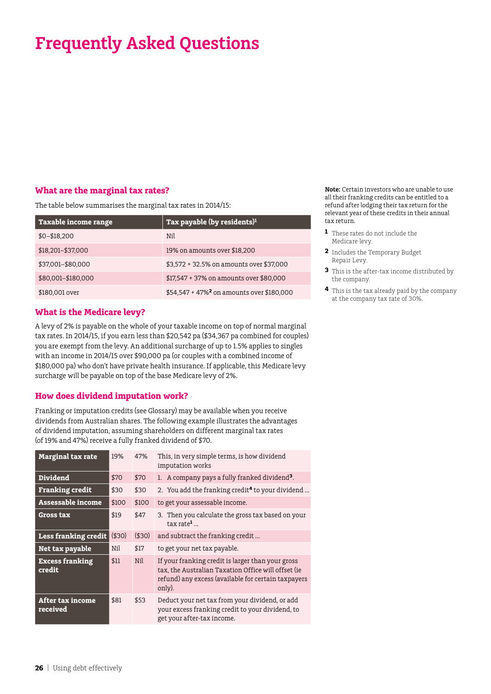# **What are the marginal tax rates?**

The table below summarises the marginal tax rates in 2014/15:

| Taxable income range | Tax payable (by residents) <sup>1</sup>                 |
|----------------------|---------------------------------------------------------|
| $$0 - $18,200$       | Nil                                                     |
| \$18,201-\$37,000    | 19% on amounts over \$18,200                            |
| \$37,001-\$80,000    | \$3,572 + 32.5% on amounts over \$37,000                |
| \$80,001-\$180,000   | $$17,547 + 37\%$ on amounts over \$80,000               |
| \$180,001 over       | $$54,547 + 47\%$ <sup>2</sup> on amounts over \$180,000 |

# **What is the Medicare levy?**

A levy of 2% is payable on the whole of your taxable income on top of normal marginal tax rates. In 2014/15, if you earn less than \$20,542 pa (\$34,367 pa combined for couples) you are exempt from the levy. An additional surcharge of up to 1.5% applies to singles with an income in 2014/15 over \$90,000 pa (or couples with a combined income of \$180,000 pa) who don't have private health insurance. If applicable, this Medicare levy surcharge will be payable on top of the base Medicare levy of 2%.

# **How does dividend imputation work?**

Franking or imputation credits (see Glossary) may be available when you receive dividends from Australian shares. The following example illustrates the advantages of dividend imputation, assuming shareholders on different marginal tax rates (of 19% and 47%) receive a fully franked dividend of \$70.

| <b>Marginal tax rate</b>            | 19%   | 47%   | This, in very simple terms, is how dividend<br>imputation works                                                                                                           |  |
|-------------------------------------|-------|-------|---------------------------------------------------------------------------------------------------------------------------------------------------------------------------|--|
| <b>Dividend</b>                     | \$70  | \$70  | 1. A company pays a fully franked dividend <sup>3</sup> .                                                                                                                 |  |
| <b>Franking credit</b>              | \$30  | \$30  | 2. You add the franking credit <sup>4</sup> to your dividend                                                                                                              |  |
| Assessable income                   | \$100 | \$100 | to get your assessable income.                                                                                                                                            |  |
| <b>Gross tax</b>                    | \$19  | \$47  | 3. Then you calculate the gross tax based on your<br>$\text{tax rate}^1$                                                                                                  |  |
| <b>Less franking credit</b>         | (530) | (530) | and subtract the franking credit                                                                                                                                          |  |
| Net tax payable                     | Nil   | \$17  | to get your net tax payable.                                                                                                                                              |  |
| <b>Excess franking</b><br>credit    | \$11  | Nil   | If your franking credit is larger than your gross<br>tax, the Australian Taxation Office will offset (ie<br>refund) any excess (available for certain taxpayers<br>only). |  |
| <b>After tax income</b><br>received | \$81  | \$53  | Deduct your net tax from your dividend, or add<br>your excess franking credit to your dividend, to<br>get your after-tax income.                                          |  |

**Note:** Certain investors who are unable to use all their franking credits can be entitled to a refund after lodging their tax return for the relevant year of these credits in their annual tax return.

- **1** These rates do not include the Medicare levy.
- **2** Includes the Temporary Budget Repair Levy.
- **3** This is the after-tax income distributed by the company.
- **4** This is the tax already paid by the company at the company tax rate of 30%.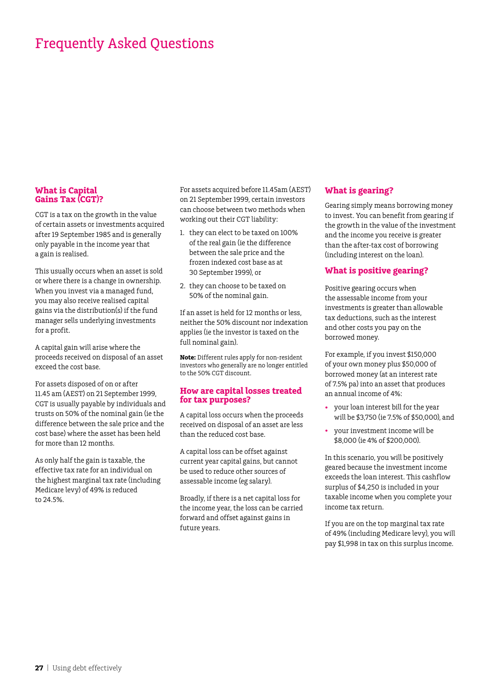### **What is Capital Gains Tax (CGT)?**

CGT is a tax on the growth in the value of certain assets or investments acquired after 19 September 1985 and is generally only payable in the income year that a gain is realised.

This usually occurs when an asset is sold or where there is a change in ownership. When you invest via a managed fund, you may also receive realised capital gains via the distribution(s) if the fund manager sells underlying investments for a profit.

A capital gain will arise where the proceeds received on disposal of an asset exceed the cost base.

For assets disposed of on or after 11.45 am (AEST) on 21 September 1999, CGT is usually payable by individuals and trusts on 50% of the nominal gain (ie the difference between the sale price and the cost base) where the asset has been held for more than 12 months.

As only half the gain is taxable, the effective tax rate for an individual on the highest marginal tax rate (including Medicare levy) of 49% is reduced to 24.5%.

For assets acquired before 11.45am (AEST) on 21 September 1999, certain investors can choose between two methods when working out their CGT liability:

- 1. they can elect to be taxed on 100% of the real gain (ie the difference between the sale price and the frozen indexed cost base as at 30 September 1999), or
- 2. they can choose to be taxed on 50% of the nominal gain.

If an asset is held for 12 months or less, neither the 50% discount nor indexation applies (ie the investor is taxed on the full nominal gain).

**Note:** Different rules apply for non-resident investors who generally are no longer entitled to the 50% CGT discount.

### **How are capital losses treated for tax purposes?**

A capital loss occurs when the proceeds received on disposal of an asset are less than the reduced cost base.

A capital loss can be offset against current year capital gains, but cannot be used to reduce other sources of assessable income (eg salary).

Broadly, if there is a net capital loss for the income year, the loss can be carried forward and offset against gains in future years.

# **What is gearing?**

Gearing simply means borrowing money to invest. You can benefit from gearing if the growth in the value of the investment and the income you receive is greater than the after-tax cost of borrowing (including interest on the loan).

# **What is positive gearing?**

Positive gearing occurs when the assessable income from your investments is greater than allowable tax deductions, such as the interest and other costs you pay on the borrowed money.

For example, if you invest \$150,000 of your own money plus \$50,000 of borrowed money (at an interest rate of 7.5% pa) into an asset that produces an annual income of 4%:

- vour loan interest bill for the year will be \$3,750 (ie 7.5% of \$50,000), and
- • your investment income will be \$8,000 (ie 4% of \$200,000).

In this scenario, you will be positively geared because the investment income exceeds the loan interest. This cashflow surplus of \$4,250 is included in your taxable income when you complete your income tax return.

If you are on the top marginal tax rate of 49% (including Medicare levy), you will pay \$1,998 in tax on this surplus income.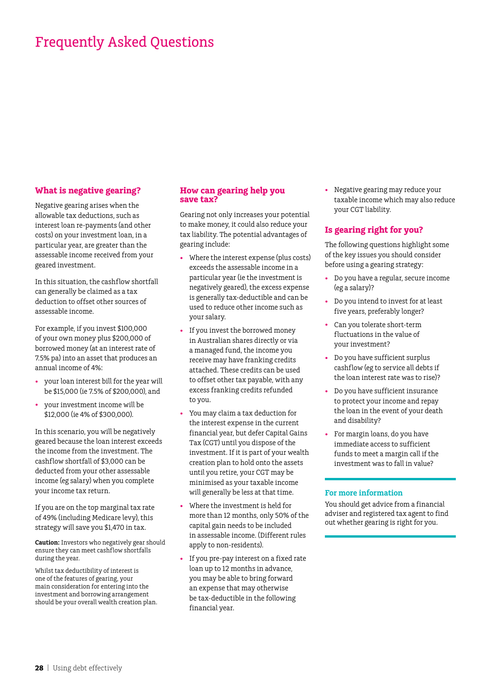# **What is negative gearing?**

Negative gearing arises when the allowable tax deductions, such as interest loan re-payments (and other costs) on your investment loan, in a particular year, are greater than the assessable income received from your geared investment.

In this situation, the cashflow shortfall can generally be claimed as a tax deduction to offset other sources of assessable income.

For example, if you invest \$100,000 of your own money plus \$200,000 of borrowed money (at an interest rate of 7.5% pa) into an asset that produces an annual income of 4%:

- your loan interest bill for the year will be \$15,000 (ie 7.5% of \$200,000), and
- your investment income will be \$12,000 (ie 4% of \$300,000).

In this scenario, you will be negatively geared because the loan interest exceeds the income from the investment. The cashflow shortfall of \$3,000 can be deducted from your other assessable income (eg salary) when you complete your income tax return.

If you are on the top marginal tax rate of 49% (including Medicare levy), this strategy will save you \$1,470 in tax.

**Caution:** Investors who negatively gear should ensure they can meet cashflow shortfalls during the year.

Whilst tax deductibility of interest is one of the features of gearing, your main consideration for entering into the investment and borrowing arrangement should be your overall wealth creation plan.

# **How can gearing help you save tax?**

Gearing not only increases your potential to make money, it could also reduce your tax liability. The potential advantages of gearing include:

- Where the interest expense (plus costs) exceeds the assessable income in a particular year (ie the investment is negatively geared), the excess expense is generally tax-deductible and can be used to reduce other income such as your salary.
- If you invest the borrowed money in Australian shares directly or via a managed fund, the income you receive may have franking credits attached. These credits can be used to offset other tax payable, with any excess franking credits refunded to you.
- You may claim a tax deduction for the interest expense in the current financial year, but defer Capital Gains Tax (CGT) until you dispose of the investment. If it is part of your wealth creation plan to hold onto the assets until you retire, your CGT may be minimised as your taxable income will generally be less at that time.
- • Where the investment is held for more than 12 months, only 50% of the capital gain needs to be included in assessable income. (Different rules apply to non-residents).
- If you pre-pay interest on a fixed rate loan up to 12 months in advance, you may be able to bring forward an expense that may otherwise be tax-deductible in the following financial year.

Negative gearing may reduce your taxable income which may also reduce your CGT liability.

# **Is gearing right for you?**

The following questions highlight some of the key issues you should consider before using a gearing strategy:

- Do you have a regular, secure income (eg a salary)?
- • Do you intend to invest for at least five years, preferably longer?
- Can you tolerate short-term fluctuations in the value of your investment?
- • Do you have sufficient surplus cashflow (eg to service all debts if the loan interest rate was to rise)?
- Do you have sufficient insurance to protect your income and repay the loan in the event of your death and disability?
- For margin loans, do you have immediate access to sufficient funds to meet a margin call if the investment was to fall in value?

### **For more information**

You should get advice from a financial adviser and registered tax agent to find out whether gearing is right for you.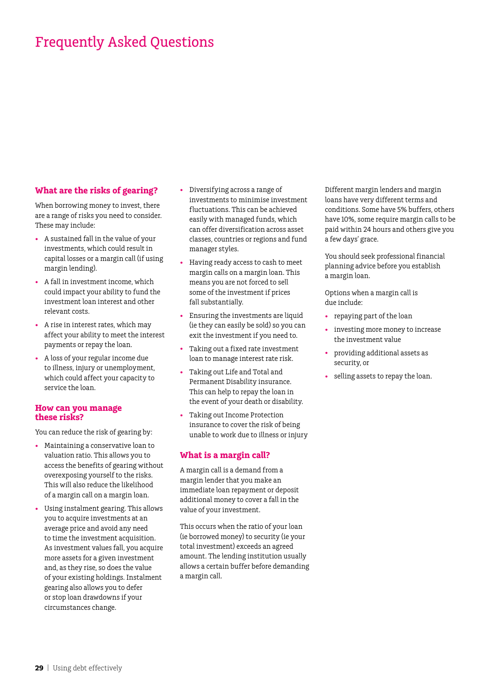# **What are the risks of gearing?**

When borrowing money to invest, there are a range of risks you need to consider. These may include:

- A sustained fall in the value of your investments, which could result in capital losses or a margin call (if using margin lending).
- A fall in investment income, which could impact your ability to fund the investment loan interest and other relevant costs.
- A rise in interest rates, which may affect your ability to meet the interest payments or repay the loan.
- • A loss of your regular income due to illness, injury or unemployment, which could affect your capacity to service the loan.

### **How can you manage these risks?**

You can reduce the risk of gearing by:

- • Maintaining a conservative loan to valuation ratio. This allows you to access the benefits of gearing without overexposing yourself to the risks. This will also reduce the likelihood of a margin call on a margin loan.
- Using instalment gearing. This allows you to acquire investments at an average price and avoid any need to time the investment acquisition. As investment values fall, you acquire more assets for a given investment and, as they rise, so does the value of your existing holdings. Instalment gearing also allows you to defer or stop loan drawdowns if your circumstances change.
- • Diversifying across a range of investments to minimise investment fluctuations. This can be achieved easily with managed funds, which can offer diversification across asset classes, countries or regions and fund manager styles.
- Having ready access to cash to meet margin calls on a margin loan. This means you are not forced to sell some of the investment if prices fall substantially.
- Ensuring the investments are liquid (ie they can easily be sold) so you can exit the investment if you need to.
- • Taking out a fixed rate investment loan to manage interest rate risk.
- Taking out Life and Total and Permanent Disability insurance. This can help to repay the loan in the event of your death or disability.
- Taking out Income Protection insurance to cover the risk of being unable to work due to illness or injury

# **What is a margin call?**

A margin call is a demand from a margin lender that you make an immediate loan repayment or deposit additional money to cover a fall in the value of your investment.

This occurs when the ratio of your loan (ie borrowed money) to security (ie your total investment) exceeds an agreed amount. The lending institution usually allows a certain buffer before demanding a margin call.

Different margin lenders and margin loans have very different terms and conditions. Some have 5% buffers, others have 10%, some require margin calls to be paid within 24 hours and others give you a few days' grace.

You should seek professional financial planning advice before you establish a margin loan.

Options when a margin call is due include:

- repaying part of the loan
- • investing more money to increase the investment value
- providing additional assets as security, or
- • selling assets to repay the loan.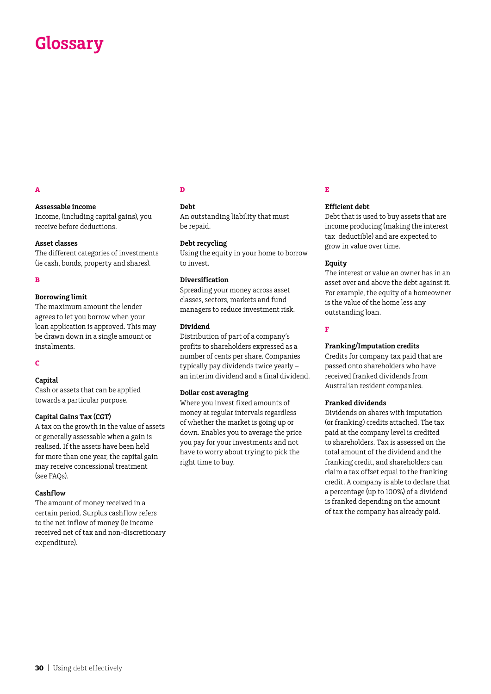# **Glossary**

# **A**

### **Assessable income**

Income, (including capital gains), you receive before deductions.

### **Asset classes**

The different categories of investments (ie cash, bonds, property and shares).

#### **B**

#### **Borrowing limit**

The maximum amount the lender agrees to let you borrow when your loan application is approved. This may be drawn down in a single amount or instalments.

#### **C**

### **Capital**

Cash or assets that can be applied towards a particular purpose.

### **Capital Gains Tax (CGT)**

A tax on the growth in the value of assets or generally assessable when a gain is realised. If the assets have been held for more than one year, the capital gain may receive concessional treatment (see FAQs).

### **Cashflow**

The amount of money received in a certain period. Surplus cashflow refers to the net inflow of money (ie income received net of tax and non-discretionary expenditure).

### **D**

#### **Debt**

An outstanding liability that must be repaid.

### **Debt recycling**

Using the equity in your home to borrow to invest.

### **Diversification**

Spreading your money across asset classes, sectors, markets and fund managers to reduce investment risk.

### **Dividend**

Distribution of part of a company's profits to shareholders expressed as a number of cents per share. Companies typically pay dividends twice yearly – an interim dividend and a final dividend.

#### **Dollar cost averaging**

Where you invest fixed amounts of money at regular intervals regardless of whether the market is going up or down. Enables you to average the price you pay for your investments and not have to worry about trying to pick the right time to buy.

### **E**

### **Efficient debt**

Debt that is used to buy assets that are income producing (making the interest tax deductible) and are expected to grow in value over time.

### **Equity**

The interest or value an owner has in an asset over and above the debt against it. For example, the equity of a homeowner is the value of the home less any outstanding loan.

### **F**

#### **Franking/Imputation credits**

Credits for company tax paid that are passed onto shareholders who have received franked dividends from Australian resident companies.

### **Franked dividends**

Dividends on shares with imputation (or franking) credits attached. The tax paid at the company level is credited to shareholders. Tax is assessed on the total amount of the dividend and the franking credit, and shareholders can claim a tax offset equal to the franking credit. A company is able to declare that a percentage (up to 100%) of a dividend is franked depending on the amount of tax the company has already paid.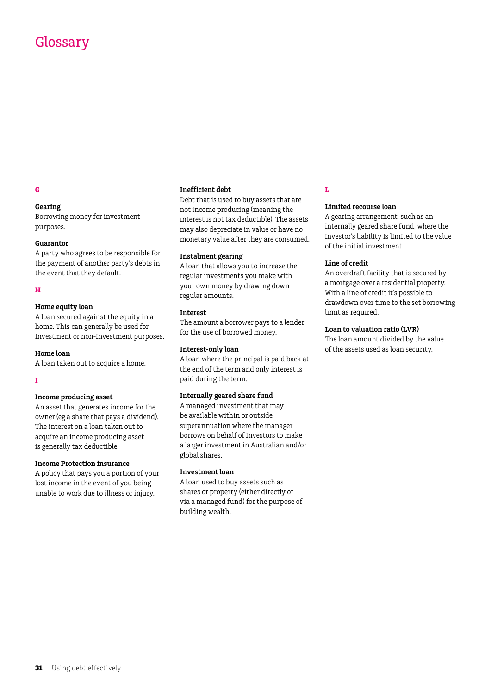# Glossary

### **Gearing**

Borrowing money for investment purposes.

#### **Guarantor**

A party who agrees to be responsible for the payment of another party's debts in the event that they default.

### **H**

### **Home equity loan**

A loan secured against the equity in a home. This can generally be used for investment or non-investment purposes.

#### **Home loan**

A loan taken out to acquire a home.

**I**

#### **Income producing asset**

An asset that generates income for the owner (eg a share that pays a dividend). The interest on a loan taken out to acquire an income producing asset is generally tax deductible.

### **Income Protection insurance**

A policy that pays you a portion of your lost income in the event of you being unable to work due to illness or injury.

#### **Inefficient debt**

Debt that is used to buy assets that are not income producing (meaning the interest is not tax deductible). The assets may also depreciate in value or have no monetary value after they are consumed.

#### **Instalment gearing**

A loan that allows you to increase the regular investments you make with your own money by drawing down regular amounts.

#### **Interest**

The amount a borrower pays to a lender for the use of borrowed money.

### **Interest-only loan**

A loan where the principal is paid back at the end of the term and only interest is paid during the term.

#### **Internally geared share fund**

A managed investment that may be available within or outside superannuation where the manager borrows on behalf of investors to make a larger investment in Australian and/or global shares.

#### **Investment loan**

A loan used to buy assets such as shares or property (either directly or via a managed fund) for the purpose of building wealth.

### **L**

#### **Limited recourse loan**

A gearing arrangement, such as an internally geared share fund, where the investor's liability is limited to the value of the initial investment.

#### **Line of credit**

An overdraft facility that is secured by a mortgage over a residential property. With a line of credit it's possible to drawdown over time to the set borrowing limit as required.

### **Loan to valuation ratio (LVR)**

The loan amount divided by the value of the assets used as loan security.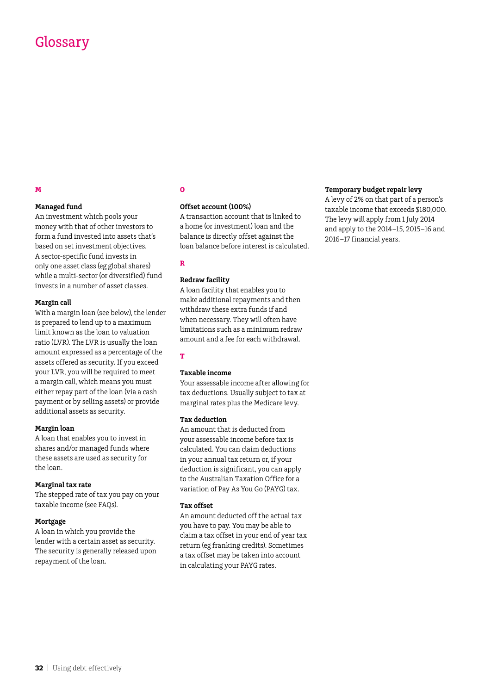# Glossary

### **Managed fund**

An investment which pools your money with that of other investors to form a fund invested into assets that's based on set investment objectives. A sector-specific fund invests in only one asset class (eg global shares) while a multi-sector (or diversified) fund invests in a number of asset classes.

#### **Margin call**

With a margin loan (see below), the lender is prepared to lend up to a maximum limit known as the loan to valuation ratio (LVR). The LVR is usually the loan amount expressed as a percentage of the assets offered as security. If you exceed your LVR, you will be required to meet a margin call, which means you must either repay part of the loan (via a cash payment or by selling assets) or provide additional assets as security.

### **Margin loan**

A loan that enables you to invest in shares and/or managed funds where these assets are used as security for the loan.

### **Marginal tax rate**

The stepped rate of tax you pay on your taxable income (see FAQs).

### **Mortgage**

A loan in which you provide the lender with a certain asset as security. The security is generally released upon repayment of the loan.

### **O**

### **Offset account (100%)**

A transaction account that is linked to a home (or investment) loan and the balance is directly offset against the loan balance before interest is calculated.

### **R**

### **Redraw facility**

A loan facility that enables you to make additional repayments and then withdraw these extra funds if and when necessary. They will often have limitations such as a minimum redraw amount and a fee for each withdrawal.

### **T**

### **Taxable income**

Your assessable income after allowing for tax deductions. Usually subject to tax at marginal rates plus the Medicare levy.

### **Tax deduction**

An amount that is deducted from your assessable income before tax is calculated. You can claim deductions in your annual tax return or, if your deduction is significant, you can apply to the Australian Taxation Office for a variation of Pay As You Go (PAYG) tax.

#### **Tax offset**

An amount deducted off the actual tax you have to pay. You may be able to claim a tax offset in your end of year tax return (eg franking credits). Sometimes a tax offset may be taken into account in calculating your PAYG rates.

#### **Temporary budget repair levy**

A levy of 2% on that part of a person's taxable income that exceeds \$180,000. The levy will apply from 1 July 2014 and apply to the 2014–15, 2015–16 and 2016–17 financial years.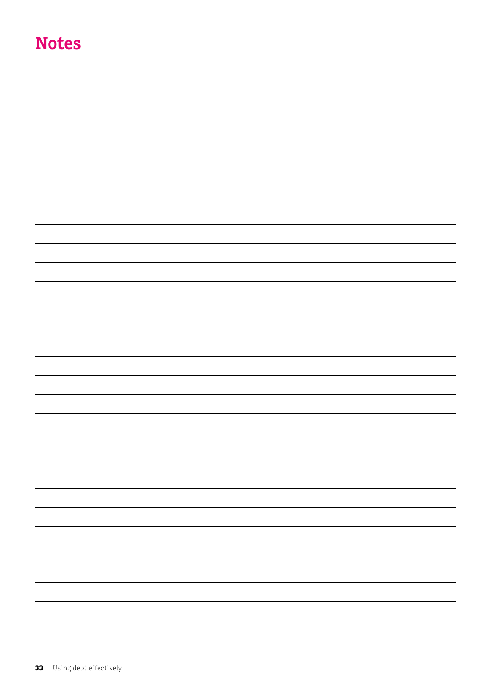# **Notes**

|  | $\equiv$                 |
|--|--------------------------|
|  | $\overline{\phantom{0}}$ |
|  |                          |
|  | $\overline{\phantom{0}}$ |
|  | $\overline{\phantom{a}}$ |
|  | $\overline{\phantom{0}}$ |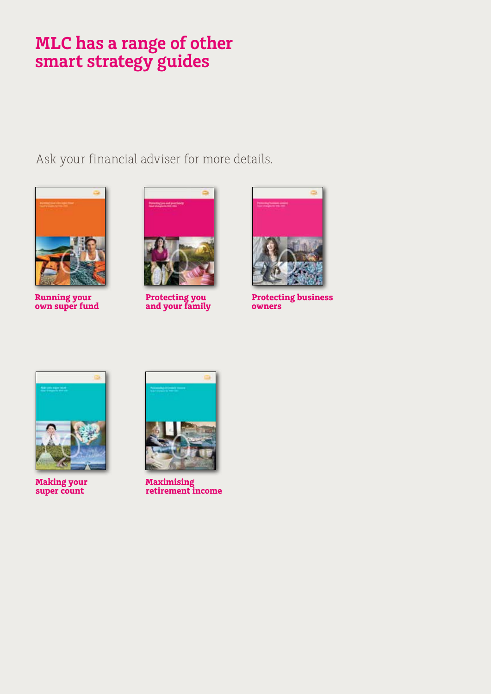# **MLC has a range of other smart strategy guides**

Ask your financial adviser for more details.



**Running your own super fund**



**Protecting you and your family**



**Protecting business owners**



**Making your super count**



**Maximising retirement income**